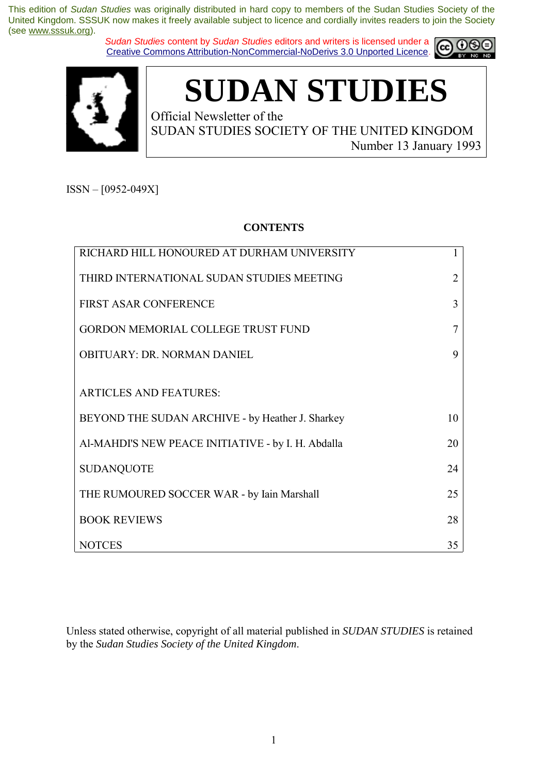*Sudan Studies* content by *Sudan Studies* editors and writers is licensed under a Creative Commons Attribution-NonCommercial-NoDerivs 3.0 Unported Licence.





**SUDAN STUDIES** 

Official Newsletter of the SUDAN STUDIES SOCIETY OF THE UNITED KINGDOM Number 13 January 1993

 $ISSN - [0952-049X]$ 

## **CONTENTS**

| RICHARD HILL HONOURED AT DURHAM UNIVERSITY         |    |
|----------------------------------------------------|----|
| THIRD INTERNATIONAL SUDAN STUDIES MEETING          | 2  |
| <b>FIRST ASAR CONFERENCE</b>                       | 3  |
| <b>GORDON MEMORIAL COLLEGE TRUST FUND</b>          |    |
| <b>OBITUARY: DR. NORMAN DANIEL</b>                 | 9  |
|                                                    |    |
| <b>ARTICLES AND FEATURES:</b>                      |    |
| BEYOND THE SUDAN ARCHIVE - by Heather J. Sharkey   | 10 |
| Al-MAHDI'S NEW PEACE INITIATIVE - by I. H. Abdalla | 20 |
| <b>SUDANQUOTE</b>                                  | 24 |
| THE RUMOURED SOCCER WAR - by Iain Marshall         | 25 |
| <b>BOOK REVIEWS</b>                                | 28 |
| <b>NOTCES</b>                                      | 35 |

Unless stated otherwise, copyright of all material published in *SUDAN STUDIES* is retained by the *Sudan Studies Society of the United Kingdom*.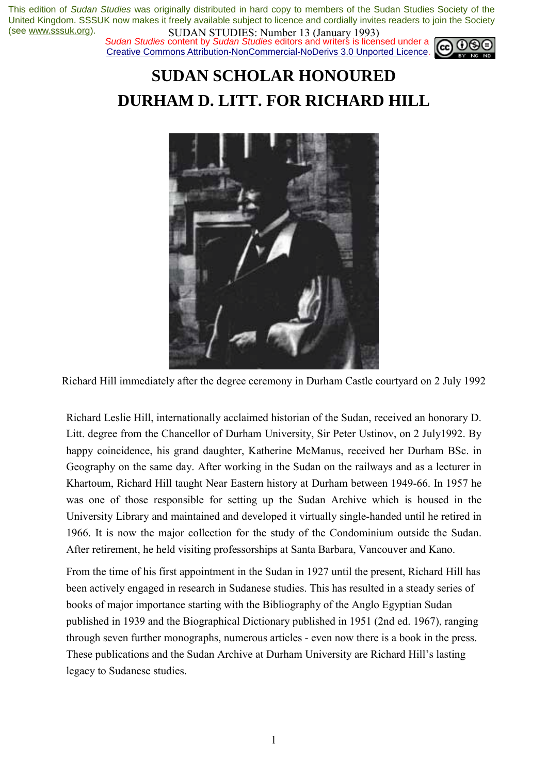*Sudan Studies* content by *Sudan Studies* editors and writers is licensed under a Creative Commons Attribution-NonCommercial-NoDerivs 3.0 Unported Licence.



# **SUDAN SCHOLAR HONOURED DURHAM D. LITT. FOR RICHARD HILL**



Richard Hill immediately after the degree ceremony in Durham Castle courtyard on 2 July 1992

Richard Leslie Hill, internationally acclaimed historian of the Sudan, received an honorary D. Litt. degree from the Chancellor of Durham University, Sir Peter Ustinov, on 2 July1992. By happy coincidence, his grand daughter, Katherine McManus, received her Durham BSc. in Geography on the same day. After working in the Sudan on the railways and as a lecturer in Khartoum, Richard Hill taught Near Eastern history at Durham between 1949-66. In 1957 he was one of those responsible for setting up the Sudan Archive which is housed in the University Library and maintained and developed it virtually single-handed until he retired in 1966. It is now the major collection for the study of the Condominium outside the Sudan. After retirement, he held visiting professorships at Santa Barbara, Vancouver and Kano.

From the time of his first appointment in the Sudan in 1927 until the present, Richard Hill has been actively engaged in research in Sudanese studies. This has resulted in a steady series of books of major importance starting with the Bibliography of the Anglo Egyptian Sudan published in 1939 and the Biographical Dictionary published in 1951 (2nd ed. 1967), ranging through seven further monographs, numerous articles - even now there is a book in the press. These publications and the Sudan Archive at Durham University are Richard Hill's lasting legacy to Sudanese studies.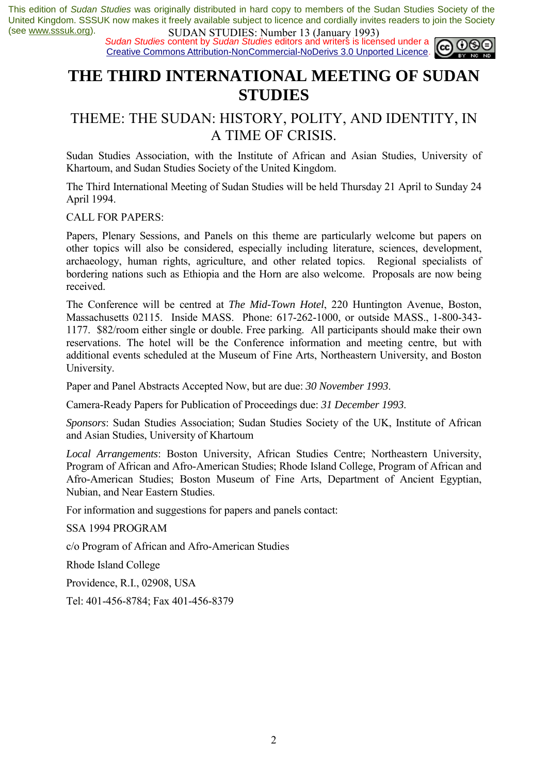*Sudan Studies* content by *Sudan Studies* editors and writers is licensed under a Creative Commons Attribution-NonCommercial-NoDerivs 3.0 Unported Licence.



# **THE THIRD INTERNATIONAL MEETING OF SUDAN STUDIES**

## THEME: THE SUDAN: HISTORY, POLITY, AND IDENTITY, IN A TIME OF CRISIS.

Sudan Studies Association, with the Institute of African and Asian Studies, University of Khartoum, and Sudan Studies Society of the United Kingdom.

The Third International Meeting of Sudan Studies will be held Thursday 21 April to Sunday 24 April 1994.

CALL FOR PAPERS:

Papers, Plenary Sessions, and Panels on this theme are particularly welcome but papers on other topics will also be considered, especially including literature, sciences, development, archaeology, human rights, agriculture, and other related topics. Regional specialists of bordering nations such as Ethiopia and the Horn are also welcome. Proposals are now being received.

The Conference will be centred at *The Mid-Town Hotel*, 220 Huntington Avenue, Boston, Massachusetts 02115. Inside MASS. Phone: 617-262-1000, or outside MASS., 1-800-343- 1177. \$82/room either single or double. Free parking. All participants should make their own reservations. The hotel will be the Conference information and meeting centre, but with additional events scheduled at the Museum of Fine Arts, Northeastern University, and Boston University.

Paper and Panel Abstracts Accepted Now, but are due: *30 November 1993*.

Camera-Ready Papers for Publication of Proceedings due: *31 December 1993*.

*Sponsors*: Sudan Studies Association; Sudan Studies Society of the UK, Institute of African and Asian Studies, University of Khartoum

*Local Arrangements*: Boston University, African Studies Centre; Northeastern University, Program of African and Afro-American Studies; Rhode Island College, Program of African and Afro-American Studies; Boston Museum of Fine Arts, Department of Ancient Egyptian, Nubian, and Near Eastern Studies.

For information and suggestions for papers and panels contact:

SSA 1994 PROGRAM

c/o Program of African and Afro-American Studies

Rhode Island College

Providence, R.I., 02908, USA

Tel: 401-456-8784; Fax 401-456-8379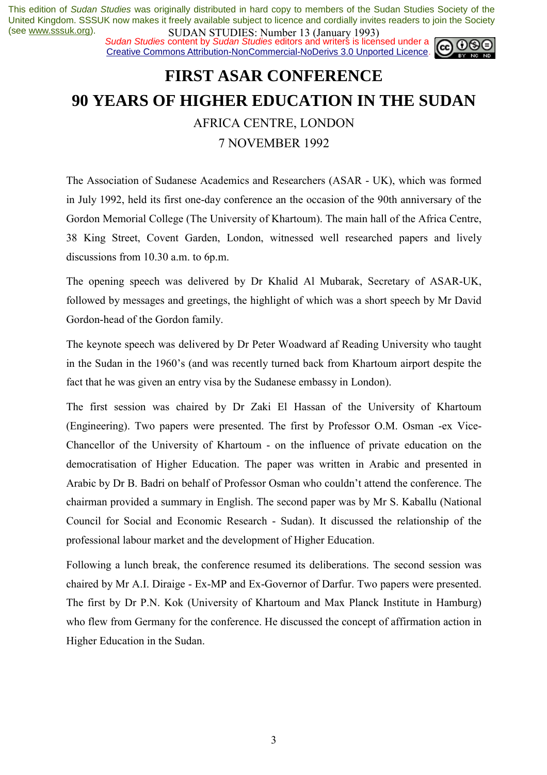*Sudan Studies* content by *Sudan Studies* editors and writers is licensed under a Creative Commons Attribution-NonCommercial-NoDerivs 3.0 Unported Licence.



# **FIRST ASAR CONFERENCE 90 YEARS OF HIGHER EDUCATION IN THE SUDAN** AFRICA CENTRE, LONDON 7 NOVEMBER 1992

The Association of Sudanese Academics and Researchers (ASAR - UK), which was formed in July 1992, held its first one-day conference an the occasion of the 90th anniversary of the Gordon Memorial College (The University of Khartoum). The main hall of the Africa Centre, 38 King Street, Covent Garden, London, witnessed well researched papers and lively discussions from 10.30 a.m. to 6p.m.

The opening speech was delivered by Dr Khalid Al Mubarak, Secretary of ASAR-UK, followed by messages and greetings, the highlight of which was a short speech by Mr David Gordon-head of the Gordon family.

The keynote speech was delivered by Dr Peter Woadward af Reading University who taught in the Sudan in the 1960's (and was recently turned back from Khartoum airport despite the fact that he was given an entry visa by the Sudanese embassy in London).

The first session was chaired by Dr Zaki El Hassan of the University of Khartoum (Engineering). Two papers were presented. The first by Professor O.M. Osman -ex Vice-Chancellor of the University of Khartoum - on the influence of private education on the democratisation of Higher Education. The paper was written in Arabic and presented in Arabic by Dr B. Badri on behalf of Professor Osman who couldn't attend the conference. The chairman provided a summary in English. The second paper was by Mr S. Kaballu (National Council for Social and Economic Research - Sudan). It discussed the relationship of the professional labour market and the development of Higher Education.

Following a lunch break, the conference resumed its deliberations. The second session was chaired by Mr A.I. Diraige - Ex-MP and Ex-Governor of Darfur. Two papers were presented. The first by Dr P.N. Kok (University of Khartoum and Max Planck Institute in Hamburg) who flew from Germany for the conference. He discussed the concept of affirmation action in Higher Education in the Sudan.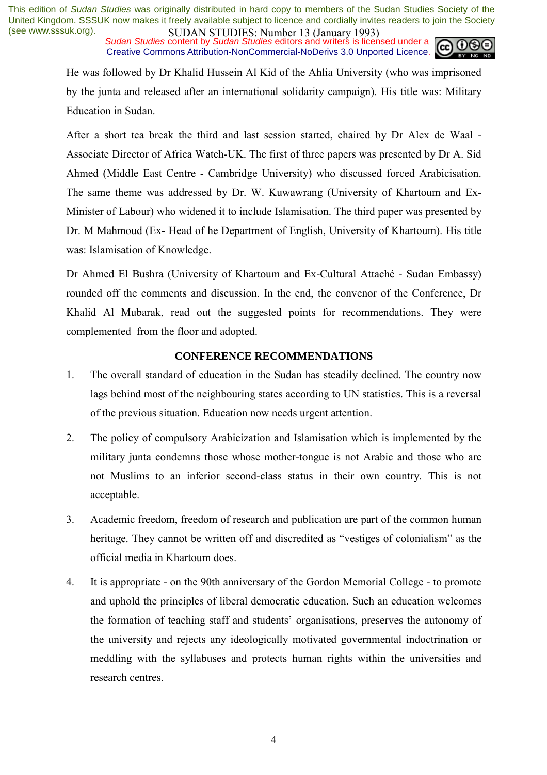*Sudan Studies* content by *Sudan Studies* editors and writers is licensed under a Creative Commons Attribution-NonCommercial-NoDerivs 3.0 Unported Licence.



He was followed by Dr Khalid Hussein Al Kid of the Ahlia University (who was imprisoned by the junta and released after an international solidarity campaign). His title was: Military Education in Sudan.

After a short tea break the third and last session started, chaired by Dr Alex de Waal - Associate Director of Africa Watch-UK. The first of three papers was presented by Dr A. Sid Ahmed (Middle East Centre - Cambridge University) who discussed forced Arabicisation. The same theme was addressed by Dr. W. Kuwawrang (University of Khartoum and Ex-Minister of Labour) who widened it to include Islamisation. The third paper was presented by Dr. M Mahmoud (Ex- Head of he Department of English, University of Khartoum). His title was: Islamisation of Knowledge.

Dr Ahmed El Bushra (University of Khartoum and Ex-Cultural AttachÈ - Sudan Embassy) rounded off the comments and discussion. In the end, the convenor of the Conference, Dr Khalid Al Mubarak, read out the suggested points for recommendations. They were complemented from the floor and adopted.

## **CONFERENCE RECOMMENDATIONS**

- 1. The overall standard of education in the Sudan has steadily declined. The country now lags behind most of the neighbouring states according to UN statistics. This is a reversal of the previous situation. Education now needs urgent attention.
- 2. The policy of compulsory Arabicization and Islamisation which is implemented by the military junta condemns those whose mother-tongue is not Arabic and those who are not Muslims to an inferior second-class status in their own country. This is not acceptable.
- 3. Academic freedom, freedom of research and publication are part of the common human heritage. They cannot be written off and discredited as "vestiges of colonialism" as the official media in Khartoum does.
- 4. It is appropriate on the 90th anniversary of the Gordon Memorial College to promote and uphold the principles of liberal democratic education. Such an education welcomes the formation of teaching staff and students' organisations, preserves the autonomy of the university and rejects any ideologically motivated governmental indoctrination or meddling with the syllabuses and protects human rights within the universities and research centres.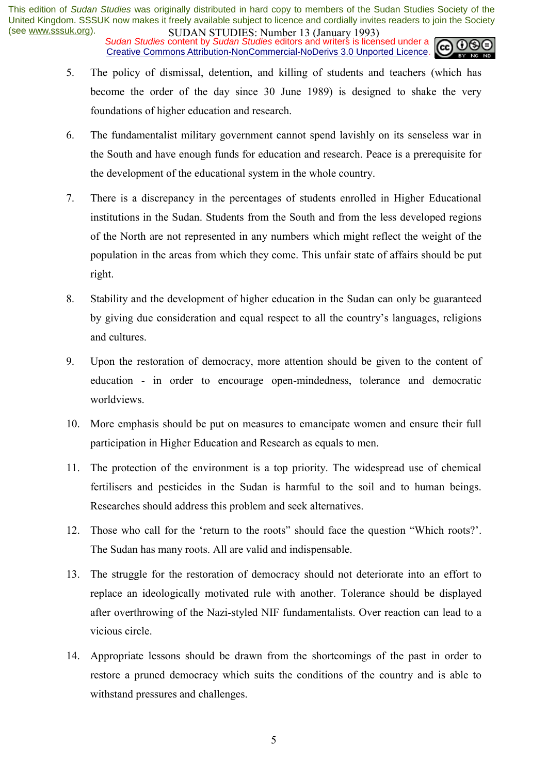*Sudan Studies* content by *Sudan Studies* editors and writers is licensed under a Creative Commons Attribution-NonCommercial-NoDerivs 3.0 Unported Licence.



- 5. The policy of dismissal, detention, and killing of students and teachers (which has become the order of the day since 30 June 1989) is designed to shake the very foundations of higher education and research.
- 6. The fundamentalist military government cannot spend lavishly on its senseless war in the South and have enough funds for education and research. Peace is a prerequisite for the development of the educational system in the whole country.
- 7. There is a discrepancy in the percentages of students enrolled in Higher Educational institutions in the Sudan. Students from the South and from the less developed regions of the North are not represented in any numbers which might reflect the weight of the population in the areas from which they come. This unfair state of affairs should be put right.
- 8. Stability and the development of higher education in the Sudan can only be guaranteed by giving due consideration and equal respect to all the country's languages, religions and cultures.
- 9. Upon the restoration of democracy, more attention should be given to the content of education - in order to encourage open-mindedness, tolerance and democratic worldviews.
- 10. More emphasis should be put on measures to emancipate women and ensure their full participation in Higher Education and Research as equals to men.
- 11. The protection of the environment is a top priority. The widespread use of chemical fertilisers and pesticides in the Sudan is harmful to the soil and to human beings. Researches should address this problem and seek alternatives.
- 12. Those who call for the 'return to the roots' should face the question "Which roots?'. The Sudan has many roots. All are valid and indispensable.
- 13. The struggle for the restoration of democracy should not deteriorate into an effort to replace an ideologically motivated rule with another. Tolerance should be displayed after overthrowing of the Nazi-styled NIF fundamentalists. Over reaction can lead to a vicious circle.
- 14. Appropriate lessons should be drawn from the shortcomings of the past in order to restore a pruned democracy which suits the conditions of the country and is able to withstand pressures and challenges.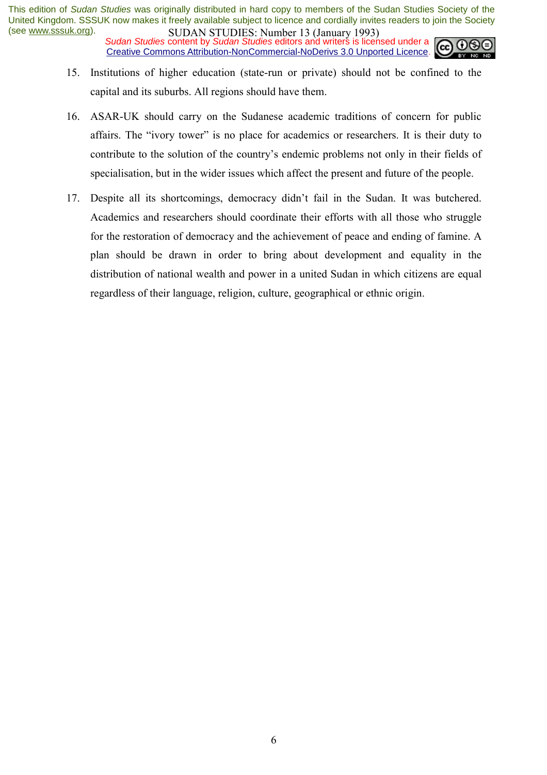*Sudan Studies* content by *Sudan Studies* editors and writers is licensed under a Creative Commons Attribution-NonCommercial-NoDerivs 3.0 Unported Licence.



- 15. Institutions of higher education (state-run or private) should not be confined to the capital and its suburbs. All regions should have them.
- 16. ASAR-UK should carry on the Sudanese academic traditions of concern for public affairs. The "ivory tower" is no place for academics or researchers. It is their duty to contribute to the solution of the country's endemic problems not only in their fields of specialisation, but in the wider issues which affect the present and future of the people.
- 17. Despite all its shortcomings, democracy didn't fail in the Sudan. It was butchered. Academics and researchers should coordinate their efforts with all those who struggle for the restoration of democracy and the achievement of peace and ending of famine. A plan should be drawn in order to bring about development and equality in the distribution of national wealth and power in a united Sudan in which citizens are equal regardless of their language, religion, culture, geographical or ethnic origin.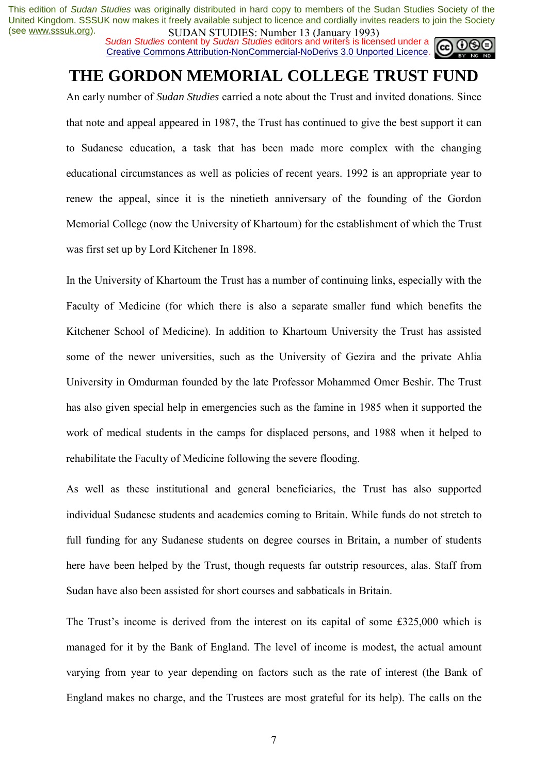*Sudan Studies* content by *Sudan Studies* editors and writers is licensed under a Creative Commons Attribution-NonCommercial-NoDerivs 3.0 Unported Licence.



# **THE GORDON MEMORIAL COLLEGE TRUST FUND**

An early number of *Sudan Studies* carried a note about the Trust and invited donations. Since that note and appeal appeared in 1987, the Trust has continued to give the best support it can to Sudanese education, a task that has been made more complex with the changing educational circumstances as well as policies of recent years. 1992 is an appropriate year to renew the appeal, since it is the ninetieth anniversary of the founding of the Gordon Memorial College (now the University of Khartoum) for the establishment of which the Trust was first set up by Lord Kitchener In 1898.

In the University of Khartoum the Trust has a number of continuing links, especially with the Faculty of Medicine (for which there is also a separate smaller fund which benefits the Kitchener School of Medicine). In addition to Khartoum University the Trust has assisted some of the newer universities, such as the University of Gezira and the private Ahlia University in Omdurman founded by the late Professor Mohammed Omer Beshir. The Trust has also given special help in emergencies such as the famine in 1985 when it supported the work of medical students in the camps for displaced persons, and 1988 when it helped to rehabilitate the Faculty of Medicine following the severe flooding.

As well as these institutional and general beneficiaries, the Trust has also supported individual Sudanese students and academics coming to Britain. While funds do not stretch to full funding for any Sudanese students on degree courses in Britain, a number of students here have been helped by the Trust, though requests far outstrip resources, alas. Staff from Sudan have also been assisted for short courses and sabbaticals in Britain.

The Trust's income is derived from the interest on its capital of some  $£325,000$  which is managed for it by the Bank of England. The level of income is modest, the actual amount varying from year to year depending on factors such as the rate of interest (the Bank of England makes no charge, and the Trustees are most grateful for its help). The calls on the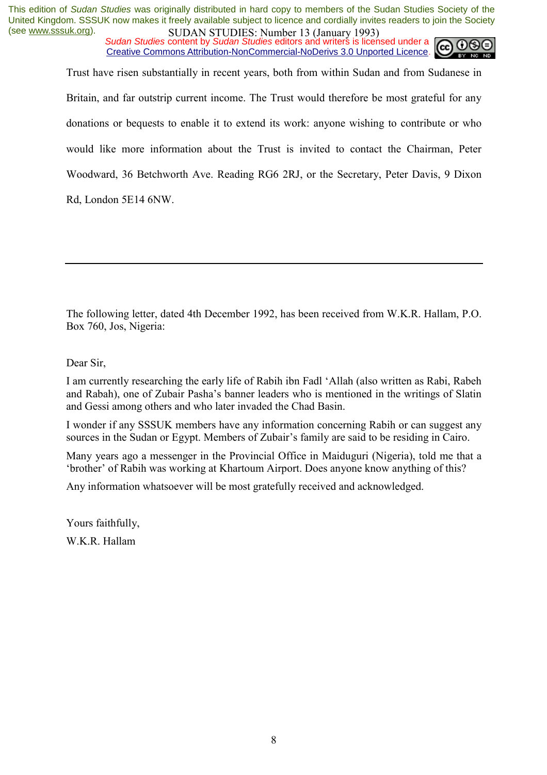*Sudan Studies* content by *Sudan Studies* editors and writers is licensed under a Creative Commons Attribution-NonCommercial-NoDerivs 3.0 Unported Licence.



Trust have risen substantially in recent years, both from within Sudan and from Sudanese in Britain, and far outstrip current income. The Trust would therefore be most grateful for any donations or bequests to enable it to extend its work: anyone wishing to contribute or who would like more information about the Trust is invited to contact the Chairman, Peter Woodward, 36 Betchworth Ave. Reading RG6 2RJ, or the Secretary, Peter Davis, 9 Dixon Rd, London 5E14 6NW.

The following letter, dated 4th December 1992, has been received from W.K.R. Hallam, P.O. Box 760, Jos, Nigeria:

Dear Sir,

I am currently researching the early life of Rabih ibn Fadl ëAllah (also written as Rabi, Rabeh and Rabah), one of Zubair Pasha's banner leaders who is mentioned in the writings of Slatin and Gessi among others and who later invaded the Chad Basin.

I wonder if any SSSUK members have any information concerning Rabih or can suggest any sources in the Sudan or Egypt. Members of Zubair's family are said to be residing in Cairo.

Many years ago a messenger in the Provincial Office in Maiduguri (Nigeria), told me that a ther of Rabih was working at Khartoum Airport. Does anyone know anything of this?

Any information whatsoever will be most gratefully received and acknowledged.

Yours faithfully, W.K.R. Hallam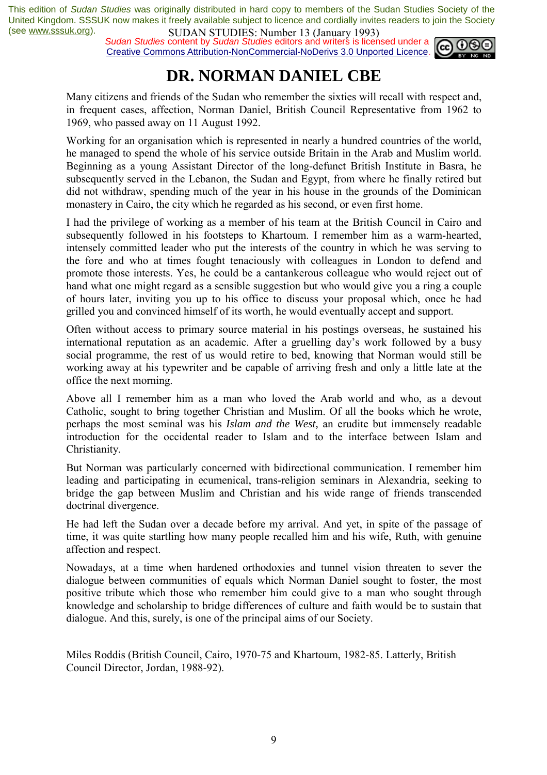*Sudan Studies* content by *Sudan Studies* editors and writers is licensed under a Creative Commons Attribution-NonCommercial-NoDerivs 3.0 Unported Licence.



# **DR. NORMAN DANIEL CBE**

Many citizens and friends of the Sudan who remember the sixties will recall with respect and, in frequent cases, affection, Norman Daniel, British Council Representative from 1962 to 1969, who passed away on 11 August 1992.

Working for an organisation which is represented in nearly a hundred countries of the world, he managed to spend the whole of his service outside Britain in the Arab and Muslim world. Beginning as a young Assistant Director of the long-defunct British Institute in Basra, he subsequently served in the Lebanon, the Sudan and Egypt, from where he finally retired but did not withdraw, spending much of the year in his house in the grounds of the Dominican monastery in Cairo, the city which he regarded as his second, or even first home.

I had the privilege of working as a member of his team at the British Council in Cairo and subsequently followed in his footsteps to Khartoum. I remember him as a warm-hearted, intensely committed leader who put the interests of the country in which he was serving to the fore and who at times fought tenaciously with colleagues in London to defend and promote those interests. Yes, he could be a cantankerous colleague who would reject out of hand what one might regard as a sensible suggestion but who would give you a ring a couple of hours later, inviting you up to his office to discuss your proposal which, once he had grilled you and convinced himself of its worth, he would eventually accept and support.

Often without access to primary source material in his postings overseas, he sustained his international reputation as an academic. After a gruelling day's work followed by a busy social programme, the rest of us would retire to bed, knowing that Norman would still be working away at his typewriter and be capable of arriving fresh and only a little late at the office the next morning.

Above all I remember him as a man who loved the Arab world and who, as a devout Catholic, sought to bring together Christian and Muslim. Of all the books which he wrote, perhaps the most seminal was his *Islam and the West,* an erudite but immensely readable introduction for the occidental reader to Islam and to the interface between Islam and Christianity.

But Norman was particularly concerned with bidirectional communication. I remember him leading and participating in ecumenical, trans-religion seminars in Alexandria, seeking to bridge the gap between Muslim and Christian and his wide range of friends transcended doctrinal divergence.

He had left the Sudan over a decade before my arrival. And yet, in spite of the passage of time, it was quite startling how many people recalled him and his wife, Ruth, with genuine affection and respect.

Nowadays, at a time when hardened orthodoxies and tunnel vision threaten to sever the dialogue between communities of equals which Norman Daniel sought to foster, the most positive tribute which those who remember him could give to a man who sought through knowledge and scholarship to bridge differences of culture and faith would be to sustain that dialogue. And this, surely, is one of the principal aims of our Society.

Miles Roddis (British Council, Cairo, 1970-75 and Khartoum, 1982-85. Latterly, British Council Director, Jordan, 1988-92).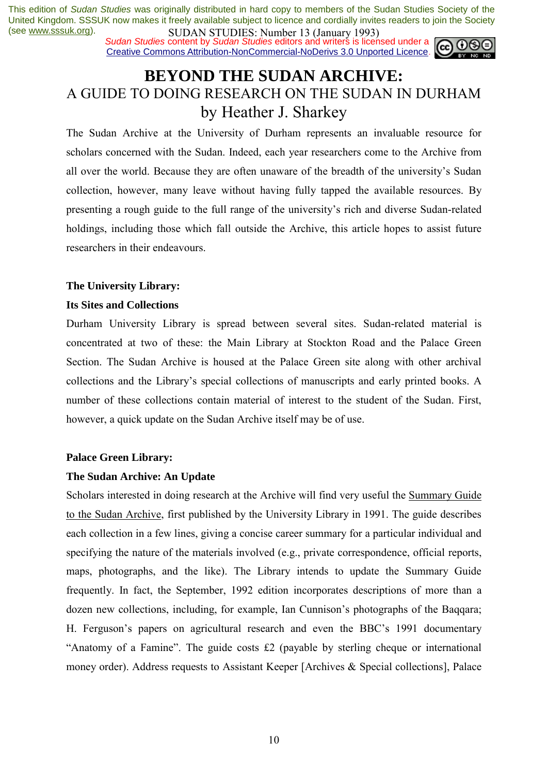*Sudan Studies* content by *Sudan Studies* editors and writers is licensed under a Creative Commons Attribution-NonCommercial-NoDerivs 3.0 Unported Licence.



## **BEYOND THE SUDAN ARCHIVE:**  A GUIDE TO DOING RESEARCH ON THE SUDAN IN DURHAM by Heather J. Sharkey

The Sudan Archive at the University of Durham represents an invaluable resource for scholars concerned with the Sudan. Indeed, each year researchers come to the Archive from all over the world. Because they are often unaware of the breadth of the university's Sudan collection, however, many leave without having fully tapped the available resources. By presenting a rough guide to the full range of the university's rich and diverse Sudan-related holdings, including those which fall outside the Archive, this article hopes to assist future researchers in their endeavours.

## **The University Library:**

## **Its Sites and Collections**

Durham University Library is spread between several sites. Sudan-related material is concentrated at two of these: the Main Library at Stockton Road and the Palace Green Section. The Sudan Archive is housed at the Palace Green site along with other archival collections and the Library's special collections of manuscripts and early printed books. A number of these collections contain material of interest to the student of the Sudan. First, however, a quick update on the Sudan Archive itself may be of use.

## **Palace Green Library:**

## **The Sudan Archive: An Update**

Scholars interested in doing research at the Archive will find very useful the Summary Guide to the Sudan Archive, first published by the University Library in 1991. The guide describes each collection in a few lines, giving a concise career summary for a particular individual and specifying the nature of the materials involved (e.g., private correspondence, official reports, maps, photographs, and the like). The Library intends to update the Summary Guide frequently. In fact, the September, 1992 edition incorporates descriptions of more than a dozen new collections, including, for example, Ian Cunnison's photographs of the Baqqara; H. Ferguson's papers on agricultural research and even the BBC's 1991 documentary "Anatomy of a Famine". The guide costs  $£2$  (payable by sterling cheque or international money order). Address requests to Assistant Keeper [Archives & Special collections], Palace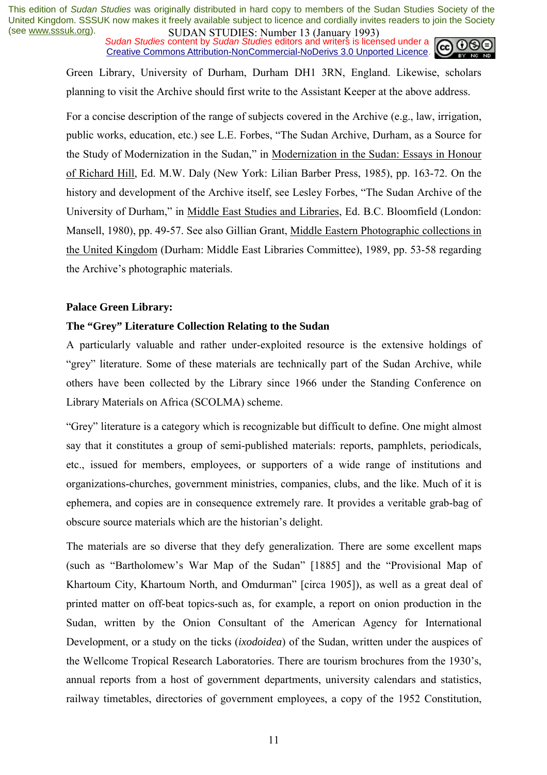*Sudan Studies* content by *Sudan Studies* editors and writers is licensed under a Creative Commons Attribution-NonCommercial-NoDerivs 3.0 Unported Licence.



Green Library, University of Durham, Durham DH1 3RN, England. Likewise, scholars planning to visit the Archive should first write to the Assistant Keeper at the above address.

For a concise description of the range of subjects covered in the Archive (e.g., law, irrigation, public works, education, etc.) see L.E. Forbes, "The Sudan Archive, Durham, as a Source for the Study of Modernization in the Sudan," in Modernization in the Sudan: Essays in Honour of Richard Hill, Ed. M.W. Daly (New York: Lilian Barber Press, 1985), pp. 163-72. On the history and development of the Archive itself, see Lesley Forbes, "The Sudan Archive of the University of Durham," in Middle East Studies and Libraries, Ed. B.C. Bloomfield (London: Mansell, 1980), pp. 49-57. See also Gillian Grant, Middle Eastern Photographic collections in the United Kingdom (Durham: Middle East Libraries Committee), 1989, pp. 53-58 regarding the Archive's photographic materials.

## **Palace Green Library:**

## **The "Grey" Literature Collection Relating to the Sudan**

A particularly valuable and rather under-exploited resource is the extensive holdings of "grey" literature. Some of these materials are technically part of the Sudan Archive, while others have been collected by the Library since 1966 under the Standing Conference on Library Materials on Africa (SCOLMA) scheme.

ìGreyî literature is a category which is recognizable but difficult to define. One might almost say that it constitutes a group of semi-published materials: reports, pamphlets, periodicals, etc., issued for members, employees, or supporters of a wide range of institutions and organizations-churches, government ministries, companies, clubs, and the like. Much of it is ephemera, and copies are in consequence extremely rare. It provides a veritable grab-bag of obscure source materials which are the historian's delight.

The materials are so diverse that they defy generalization. There are some excellent maps (such as "Bartholomew's War Map of the Sudan" [1885] and the "Provisional Map of Khartoum City, Khartoum North, and Omdurman" [circa 1905]), as well as a great deal of printed matter on off-beat topics-such as, for example, a report on onion production in the Sudan, written by the Onion Consultant of the American Agency for International Development, or a study on the ticks (*ixodoidea*) of the Sudan, written under the auspices of the Wellcome Tropical Research Laboratories. There are tourism brochures from the 1930's. annual reports from a host of government departments, university calendars and statistics, railway timetables, directories of government employees, a copy of the 1952 Constitution,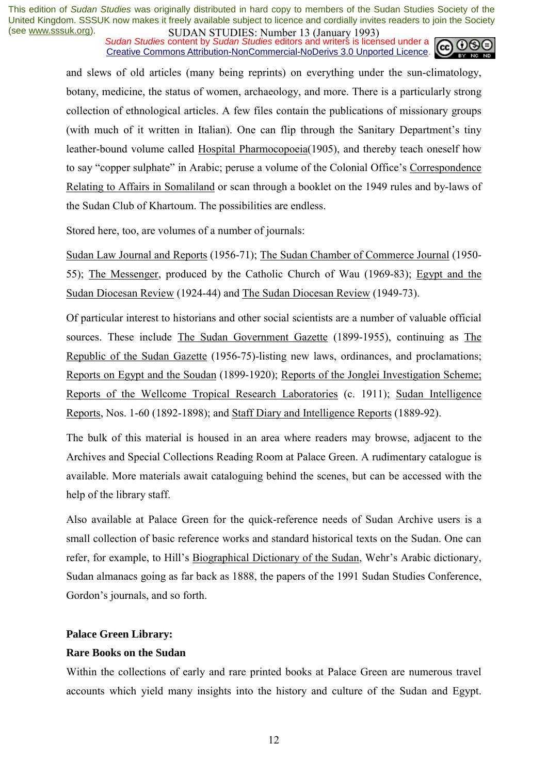*Sudan Studies* content by *Sudan Studies* editors and writers is licensed under a Creative Commons Attribution-NonCommercial-NoDerivs 3.0 Unported Licence.



and slews of old articles (many being reprints) on everything under the sun-climatology, botany, medicine, the status of women, archaeology, and more. There is a particularly strong collection of ethnological articles. A few files contain the publications of missionary groups (with much of it written in Italian). One can flip through the Sanitary Department's tiny leather-bound volume called Hospital Pharmocopoeia(1905), and thereby teach oneself how to say "copper sulphate" in Arabic: peruse a volume of the Colonial Office's Correspondence Relating to Affairs in Somaliland or scan through a booklet on the 1949 rules and by-laws of the Sudan Club of Khartoum. The possibilities are endless.

Stored here, too, are volumes of a number of journals:

Sudan Law Journal and Reports (1956-71); The Sudan Chamber of Commerce Journal (1950- 55); The Messenger, produced by the Catholic Church of Wau (1969-83); Egypt and the Sudan Diocesan Review (1924-44) and The Sudan Diocesan Review (1949-73).

Of particular interest to historians and other social scientists are a number of valuable official sources. These include The Sudan Government Gazette (1899-1955), continuing as The Republic of the Sudan Gazette (1956-75)-listing new laws, ordinances, and proclamations; Reports on Egypt and the Soudan (1899-1920); Reports of the Jonglei Investigation Scheme; Reports of the Wellcome Tropical Research Laboratories (c. 1911); Sudan Intelligence Reports, Nos. 1-60 (1892-1898); and Staff Diary and Intelligence Reports (1889-92).

The bulk of this material is housed in an area where readers may browse, adjacent to the Archives and Special Collections Reading Room at Palace Green. A rudimentary catalogue is available. More materials await cataloguing behind the scenes, but can be accessed with the help of the library staff.

Also available at Palace Green for the quick-reference needs of Sudan Archive users is a small collection of basic reference works and standard historical texts on the Sudan. One can refer, for example, to Hill's Biographical Dictionary of the Sudan, Wehr's Arabic dictionary, Sudan almanacs going as far back as 1888, the papers of the 1991 Sudan Studies Conference, Gordon's journals, and so forth.

## **Palace Green Library:**

## **Rare Books on the Sudan**

Within the collections of early and rare printed books at Palace Green are numerous travel accounts which yield many insights into the history and culture of the Sudan and Egypt.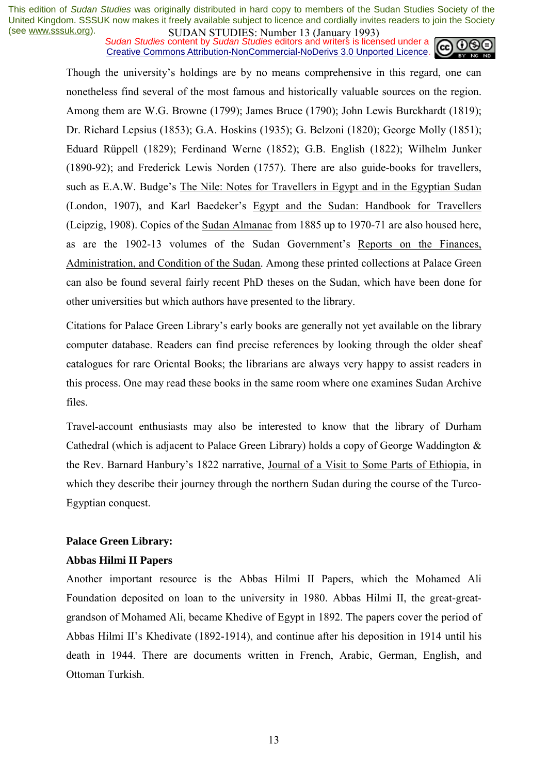*Sudan Studies* content by *Sudan Studies* editors and writers is licensed under a Creative Commons Attribution-NonCommercial-NoDerivs 3.0 Unported Licence.



Though the university's holdings are by no means comprehensive in this regard, one can nonetheless find several of the most famous and historically valuable sources on the region. Among them are W.G. Browne (1799); James Bruce (1790); John Lewis Burckhardt (1819); Dr. Richard Lepsius (1853); G.A. Hoskins (1935); G. Belzoni (1820); George Molly (1851); Eduard Rüppell (1829); Ferdinand Werne (1852); G.B. English (1822); Wilhelm Junker (1890-92); and Frederick Lewis Norden (1757). There are also guide-books for travellers, such as E.A.W. Budge's The Nile: Notes for Travellers in Egypt and in the Egyptian Sudan (London, 1907), and Karl Baedeker's Egypt and the Sudan: Handbook for Travellers (Leipzig, 1908). Copies of the Sudan Almanac from 1885 up to 1970-71 are also housed here, as are the 1902-13 volumes of the Sudan Government's Reports on the Finances, Administration, and Condition of the Sudan. Among these printed collections at Palace Green can also be found several fairly recent PhD theses on the Sudan, which have been done for other universities but which authors have presented to the library.

Citations for Palace Green Libraryís early books are generally not yet available on the library computer database. Readers can find precise references by looking through the older sheaf catalogues for rare Oriental Books; the librarians are always very happy to assist readers in this process. One may read these books in the same room where one examines Sudan Archive files.

Travel-account enthusiasts may also be interested to know that the library of Durham Cathedral (which is adjacent to Palace Green Library) holds a copy of George Waddington & the Rev. Barnard Hanbury's 1822 narrative, Journal of a Visit to Some Parts of Ethiopia, in which they describe their journey through the northern Sudan during the course of the Turco-Egyptian conquest.

## **Palace Green Library:**

#### **Abbas Hilmi II Papers**

Another important resource is the Abbas Hilmi II Papers, which the Mohamed Ali Foundation deposited on loan to the university in 1980. Abbas Hilmi II, the great-greatgrandson of Mohamed Ali, became Khedive of Egypt in 1892. The papers cover the period of Abbas Hilmi II's Khedivate (1892-1914), and continue after his deposition in 1914 until his death in 1944. There are documents written in French, Arabic, German, English, and Ottoman Turkish.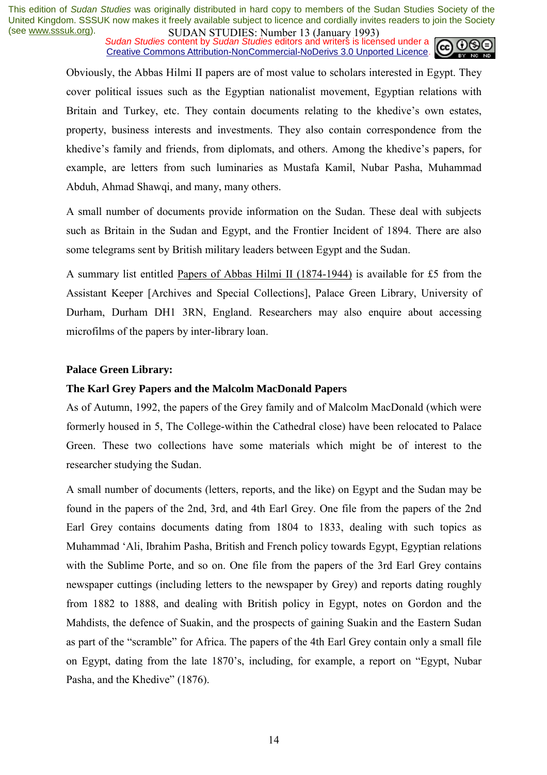*Sudan Studies* content by *Sudan Studies* editors and writers is licensed under a Creative Commons Attribution-NonCommercial-NoDerivs 3.0 Unported Licence.



Obviously, the Abbas Hilmi II papers are of most value to scholars interested in Egypt. They cover political issues such as the Egyptian nationalist movement, Egyptian relations with Britain and Turkey, etc. They contain documents relating to the khedive's own estates, property, business interests and investments. They also contain correspondence from the khedive's family and friends, from diplomats, and others. Among the khedive's papers, for example, are letters from such luminaries as Mustafa Kamil, Nubar Pasha, Muhammad Abduh, Ahmad Shawqi, and many, many others.

A small number of documents provide information on the Sudan. These deal with subjects such as Britain in the Sudan and Egypt, and the Frontier Incident of 1894. There are also some telegrams sent by British military leaders between Egypt and the Sudan.

A summary list entitled Papers of Abbas Hilmi II (1874-1944) is available for £5 from the Assistant Keeper [Archives and Special Collections], Palace Green Library, University of Durham, Durham DH1 3RN, England. Researchers may also enquire about accessing microfilms of the papers by inter-library loan.

## **Palace Green Library:**

#### **The Karl Grey Papers and the Malcolm MacDonald Papers**

As of Autumn, 1992, the papers of the Grey family and of Malcolm MacDonald (which were formerly housed in 5, The College-within the Cathedral close) have been relocated to Palace Green. These two collections have some materials which might be of interest to the researcher studying the Sudan.

A small number of documents (letters, reports, and the like) on Egypt and the Sudan may be found in the papers of the 2nd, 3rd, and 4th Earl Grey. One file from the papers of the 2nd Earl Grey contains documents dating from 1804 to 1833, dealing with such topics as Muhammad ëAli, Ibrahim Pasha, British and French policy towards Egypt, Egyptian relations with the Sublime Porte, and so on. One file from the papers of the 3rd Earl Grey contains newspaper cuttings (including letters to the newspaper by Grey) and reports dating roughly from 1882 to 1888, and dealing with British policy in Egypt, notes on Gordon and the Mahdists, the defence of Suakin, and the prospects of gaining Suakin and the Eastern Sudan as part of the "scramble" for Africa. The papers of the 4th Earl Grey contain only a small file on Egypt, dating from the late 1870's, including, for example, a report on "Egypt, Nubar" Pasha, and the Khedive" (1876).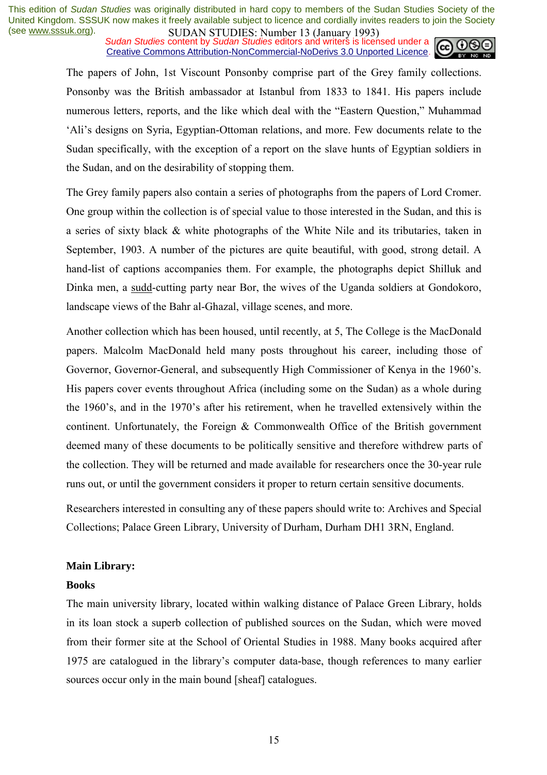*Sudan Studies* content by *Sudan Studies* editors and writers is licensed under a Creative Commons Attribution-NonCommercial-NoDerivs 3.0 Unported Licence.



The papers of John, 1st Viscount Ponsonby comprise part of the Grey family collections. Ponsonby was the British ambassador at Istanbul from 1833 to 1841. His papers include numerous letters, reports, and the like which deal with the "Eastern Question," Muhammad ëAliís designs on Syria, Egyptian-Ottoman relations, and more. Few documents relate to the Sudan specifically, with the exception of a report on the slave hunts of Egyptian soldiers in the Sudan, and on the desirability of stopping them.

The Grey family papers also contain a series of photographs from the papers of Lord Cromer. One group within the collection is of special value to those interested in the Sudan, and this is a series of sixty black & white photographs of the White Nile and its tributaries, taken in September, 1903. A number of the pictures are quite beautiful, with good, strong detail. A hand-list of captions accompanies them. For example, the photographs depict Shilluk and Dinka men, a sudd-cutting party near Bor, the wives of the Uganda soldiers at Gondokoro, landscape views of the Bahr al-Ghazal, village scenes, and more.

Another collection which has been housed, until recently, at 5, The College is the MacDonald papers. Malcolm MacDonald held many posts throughout his career, including those of Governor, Governor-General, and subsequently High Commissioner of Kenya in the 1960's. His papers cover events throughout Africa (including some on the Sudan) as a whole during the 1960's, and in the 1970's after his retirement, when he travelled extensively within the continent. Unfortunately, the Foreign & Commonwealth Office of the British government deemed many of these documents to be politically sensitive and therefore withdrew parts of the collection. They will be returned and made available for researchers once the 30-year rule runs out, or until the government considers it proper to return certain sensitive documents.

Researchers interested in consulting any of these papers should write to: Archives and Special Collections; Palace Green Library, University of Durham, Durham DH1 3RN, England.

## **Main Library:**

#### **Books**

The main university library, located within walking distance of Palace Green Library, holds in its loan stock a superb collection of published sources on the Sudan, which were moved from their former site at the School of Oriental Studies in 1988. Many books acquired after 1975 are catalogued in the libraryís computer data-base, though references to many earlier sources occur only in the main bound [sheaf] catalogues.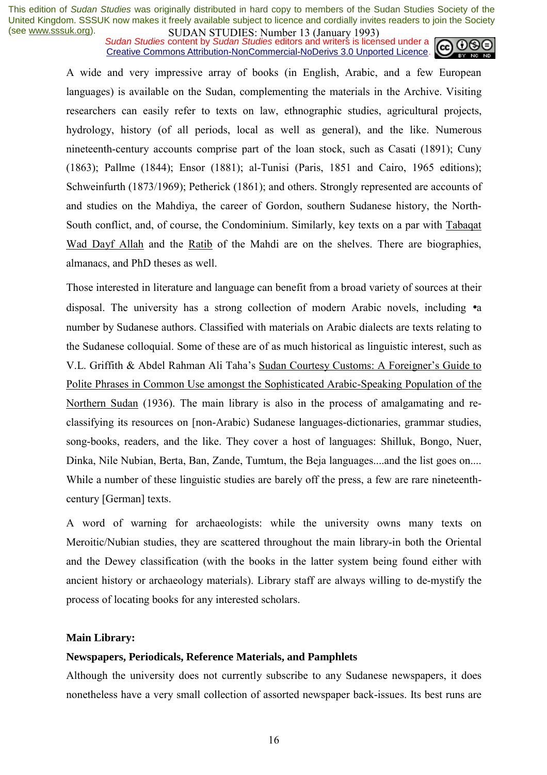*Sudan Studies* content by *Sudan Studies* editors and writers is licensed under a Creative Commons Attribution-NonCommercial-NoDerivs 3.0 Unported Licence.



A wide and very impressive array of books (in English, Arabic, and a few European languages) is available on the Sudan, complementing the materials in the Archive. Visiting researchers can easily refer to texts on law, ethnographic studies, agricultural projects, hydrology, history (of all periods, local as well as general), and the like. Numerous nineteenth-century accounts comprise part of the loan stock, such as Casati (1891); Cuny (1863); Pallme (1844); Ensor (1881); al-Tunisi (Paris, 1851 and Cairo, 1965 editions); Schweinfurth (1873/1969); Petherick (1861); and others. Strongly represented are accounts of and studies on the Mahdiya, the career of Gordon, southern Sudanese history, the North-South conflict, and, of course, the Condominium. Similarly, key texts on a par with Tabaqat Wad Dayf Allah and the Ratib of the Mahdi are on the shelves. There are biographies, almanacs, and PhD theses as well.

Those interested in literature and language can benefit from a broad variety of sources at their disposal. The university has a strong collection of modern Arabic novels, including •a number by Sudanese authors. Classified with materials on Arabic dialects are texts relating to the Sudanese colloquial. Some of these are of as much historical as linguistic interest, such as V.L. Griffith & Abdel Rahman Ali Taha's Sudan Courtesy Customs: A Foreigner's Guide to Polite Phrases in Common Use amongst the Sophisticated Arabic-Speaking Population of the Northern Sudan (1936). The main library is also in the process of amalgamating and reclassifying its resources on [non-Arabic) Sudanese languages-dictionaries, grammar studies, song-books, readers, and the like. They cover a host of languages: Shilluk, Bongo, Nuer, Dinka, Nile Nubian, Berta, Ban, Zande, Tumtum, the Beja languages....and the list goes on.... While a number of these linguistic studies are barely off the press, a few are rare nineteenthcentury [German] texts.

A word of warning for archaeologists: while the university owns many texts on Meroitic/Nubian studies, they are scattered throughout the main library-in both the Oriental and the Dewey classification (with the books in the latter system being found either with ancient history or archaeology materials). Library staff are always willing to de-mystify the process of locating books for any interested scholars.

#### **Main Library:**

## **Newspapers, Periodicals, Reference Materials, and Pamphlets**

Although the university does not currently subscribe to any Sudanese newspapers, it does nonetheless have a very small collection of assorted newspaper back-issues. Its best runs are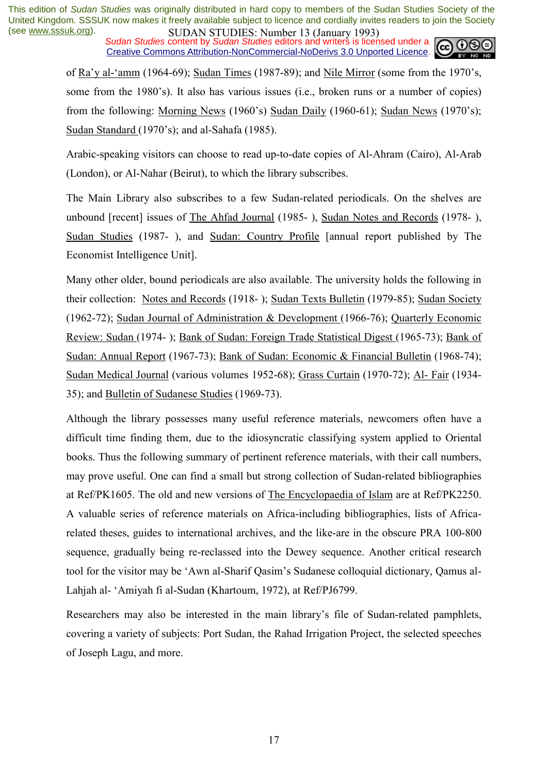*Sudan Studies* content by *Sudan Studies* editors and writers is licensed under a Creative Commons Attribution-NonCommercial-NoDerivs 3.0 Unported Licence.



of Ra'y al-'amm (1964-69); Sudan Times (1987-89); and Nile Mirror (some from the 1970's, some from the 1980's). It also has various issues (i.e., broken runs or a number of copies) from the following: Morning News (1960's) Sudan Daily (1960-61); Sudan News (1970's); Sudan Standard (1970's); and al-Sahafa (1985).

Arabic-speaking visitors can choose to read up-to-date copies of Al-Ahram (Cairo), Al-Arab (London), or Al-Nahar (Beirut), to which the library subscribes.

The Main Library also subscribes to a few Sudan-related periodicals. On the shelves are unbound [recent] issues of The Ahfad Journal (1985- ), Sudan Notes and Records (1978- ), Sudan Studies (1987- ), and Sudan: Country Profile [annual report published by The Economist Intelligence Unit].

Many other older, bound periodicals are also available. The university holds the following in their collection: Notes and Records (1918- ); Sudan Texts Bulletin (1979-85); Sudan Society (1962-72); Sudan Journal of Administration & Development (1966-76); Quarterly Economic Review: Sudan (1974- ); Bank of Sudan: Foreign Trade Statistical Digest (1965-73); Bank of Sudan: Annual Report (1967-73); Bank of Sudan: Economic & Financial Bulletin (1968-74); Sudan Medical Journal (various volumes 1952-68); Grass Curtain (1970-72); Al- Fair (1934- 35); and Bulletin of Sudanese Studies (1969-73).

Although the library possesses many useful reference materials, newcomers often have a difficult time finding them, due to the idiosyncratic classifying system applied to Oriental books. Thus the following summary of pertinent reference materials, with their call numbers, may prove useful. One can find a small but strong collection of Sudan-related bibliographies at Ref/PK1605. The old and new versions of The Encyclopaedia of Islam are at Ref/PK2250. A valuable series of reference materials on Africa-including bibliographies, lists of Africarelated theses, guides to international archives, and the like-are in the obscure PRA 100-800 sequence, gradually being re-reclassed into the Dewey sequence. Another critical research tool for the visitor may be 'Awn al-Sharif Qasim's Sudanese colloquial dictionary, Qamus al-Lahiah al- 'Amiyah fi al-Sudan (Khartoum, 1972), at Ref/PJ6799.

Researchers may also be interested in the main library's file of Sudan-related pamphlets, covering a variety of subjects: Port Sudan, the Rahad Irrigation Project, the selected speeches of Joseph Lagu, and more.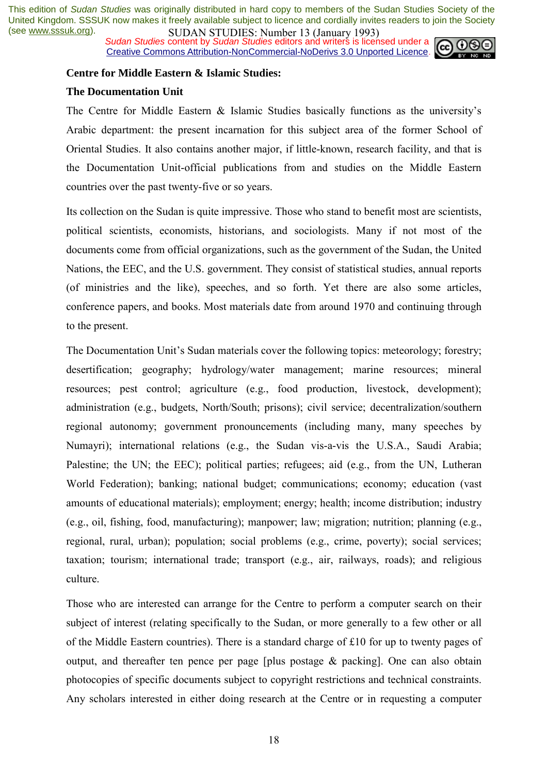*Sudan Studies* content by *Sudan Studies* editors and writers is licensed under a Creative Commons Attribution-NonCommercial-NoDerivs 3.0 Unported Licence.



#### **Centre for Middle Eastern & Islamic Studies:**

#### **The Documentation Unit**

The Centre for Middle Eastern  $\&$  Islamic Studies basically functions as the university's Arabic department: the present incarnation for this subject area of the former School of Oriental Studies. It also contains another major, if little-known, research facility, and that is the Documentation Unit-official publications from and studies on the Middle Eastern countries over the past twenty-five or so years.

Its collection on the Sudan is quite impressive. Those who stand to benefit most are scientists, political scientists, economists, historians, and sociologists. Many if not most of the documents come from official organizations, such as the government of the Sudan, the United Nations, the EEC, and the U.S. government. They consist of statistical studies, annual reports (of ministries and the like), speeches, and so forth. Yet there are also some articles, conference papers, and books. Most materials date from around 1970 and continuing through to the present.

The Documentation Unit's Sudan materials cover the following topics: meteorology; forestry; desertification; geography; hydrology/water management; marine resources; mineral resources; pest control; agriculture (e.g., food production, livestock, development); administration (e.g., budgets, North/South; prisons); civil service; decentralization/southern regional autonomy; government pronouncements (including many, many speeches by Numayri); international relations (e.g., the Sudan vis-a-vis the U.S.A., Saudi Arabia; Palestine; the UN; the EEC); political parties; refugees; aid (e.g., from the UN, Lutheran World Federation); banking; national budget; communications; economy; education (vast amounts of educational materials); employment; energy; health; income distribution; industry (e.g., oil, fishing, food, manufacturing); manpower; law; migration; nutrition; planning (e.g., regional, rural, urban); population; social problems (e.g., crime, poverty); social services; taxation; tourism; international trade; transport (e.g., air, railways, roads); and religious culture.

Those who are interested can arrange for the Centre to perform a computer search on their subject of interest (relating specifically to the Sudan, or more generally to a few other or all of the Middle Eastern countries). There is a standard charge of £10 for up to twenty pages of output, and thereafter ten pence per page [plus postage & packing]. One can also obtain photocopies of specific documents subject to copyright restrictions and technical constraints. Any scholars interested in either doing research at the Centre or in requesting a computer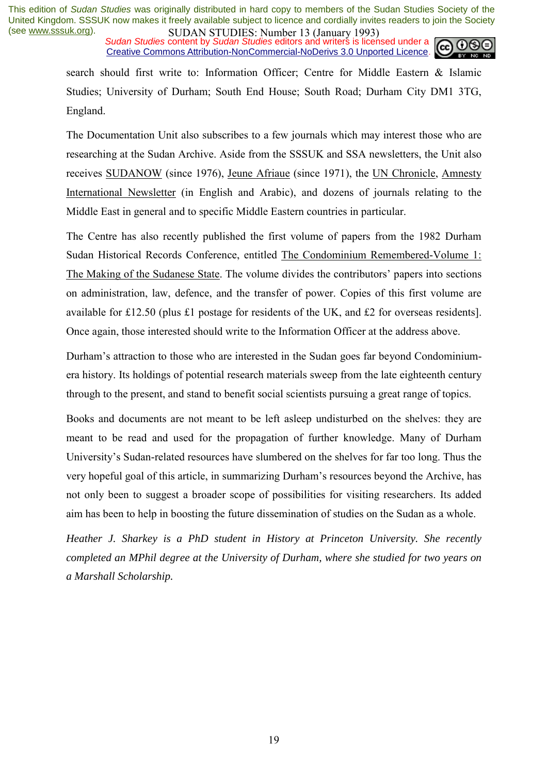*Sudan Studies* content by *Sudan Studies* editors and writers is licensed under a Creative Commons Attribution-NonCommercial-NoDerivs 3.0 Unported Licence.



search should first write to: Information Officer; Centre for Middle Eastern & Islamic Studies; University of Durham; South End House; South Road; Durham City DM1 3TG, England.

The Documentation Unit also subscribes to a few journals which may interest those who are researching at the Sudan Archive. Aside from the SSSUK and SSA newsletters, the Unit also receives SUDANOW (since 1976), Jeune Afriaue (since 1971), the UN Chronicle, Amnesty International Newsletter (in English and Arabic), and dozens of journals relating to the Middle East in general and to specific Middle Eastern countries in particular.

The Centre has also recently published the first volume of papers from the 1982 Durham Sudan Historical Records Conference, entitled The Condominium Remembered-Volume 1: The Making of the Sudanese State. The volume divides the contributors' papers into sections on administration, law, defence, and the transfer of power. Copies of this first volume are available for £12.50 (plus £1 postage for residents of the UK, and £2 for overseas residents]. Once again, those interested should write to the Information Officer at the address above.

Durham's attraction to those who are interested in the Sudan goes far beyond Condominiumera history. Its holdings of potential research materials sweep from the late eighteenth century through to the present, and stand to benefit social scientists pursuing a great range of topics.

Books and documents are not meant to be left asleep undisturbed on the shelves: they are meant to be read and used for the propagation of further knowledge. Many of Durham University's Sudan-related resources have slumbered on the shelves for far too long. Thus the very hopeful goal of this article, in summarizing Durham's resources beyond the Archive, has not only been to suggest a broader scope of possibilities for visiting researchers. Its added aim has been to help in boosting the future dissemination of studies on the Sudan as a whole.

*Heather J. Sharkey is a PhD student in History at Princeton University. She recently completed an MPhil degree at the University of Durham, where she studied for two years on a Marshall Scholarship.*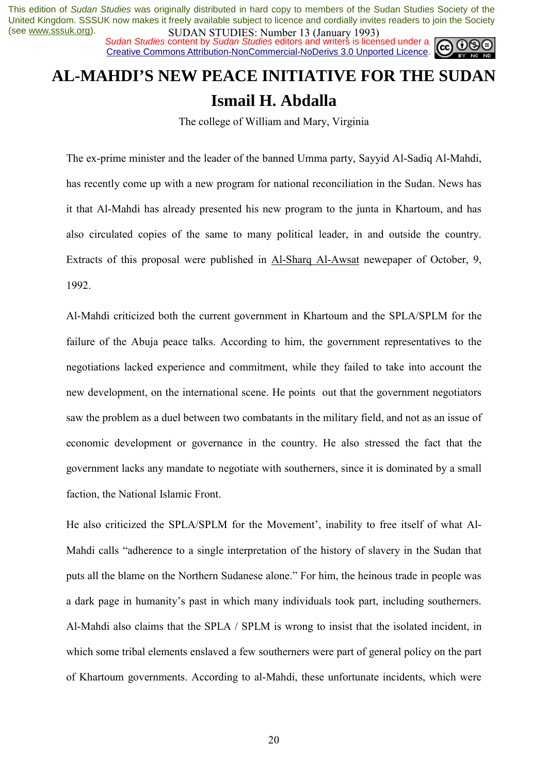*Sudan Studies* content by *Sudan Studies* editors and writers is licensed under a Creative Commons Attribution-NonCommercial-NoDerivs 3.0 Unported Licence.



# **AL-MAHDI'S NEW PEACE INITIATIVE FOR THE SUDAN Ismail H. Abdalla**

The college of William and Mary, Virginia

The ex-prime minister and the leader of the banned Umma party, Sayyid Al-Sadiq Al-Mahdi, has recently come up with a new program for national reconciliation in the Sudan. News has it that Al-Mahdi has already presented his new program to the junta in Khartoum, and has also circulated copies of the same to many political leader, in and outside the country. Extracts of this proposal were published in Al-Sharq Al-Awsat newepaper of October, 9, 1992.

Al-Mahdi criticized both the current government in Khartoum and the SPLA/SPLM for the failure of the Abuja peace talks. According to him, the government representatives to the negotiations lacked experience and commitment, while they failed to take into account the new development, on the international scene. He points out that the government negotiators saw the problem as a duel between two combatants in the military field, and not as an issue of economic development or governance in the country. He also stressed the fact that the government lacks any mandate to negotiate with southerners, since it is dominated by a small faction, the National Islamic Front.

He also criticized the SPLA/SPLM for the Movement', inability to free itself of what Al-Mahdi calls "adherence to a single interpretation of the history of slavery in the Sudan that puts all the blame on the Northern Sudanese alone." For him, the heinous trade in people was a dark page in humanityís past in which many individuals took part, including southerners. Al-Mahdi also claims that the SPLA / SPLM is wrong to insist that the isolated incident, in which some tribal elements enslaved a few southerners were part of general policy on the part of Khartoum governments. According to al-Mahdi, these unfortunate incidents, which were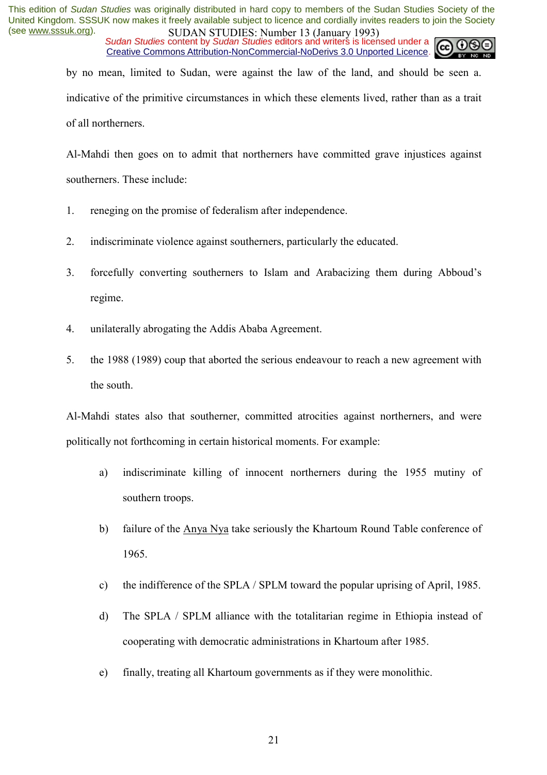*Sudan Studies* content by *Sudan Studies* editors and writers is licensed under a Creative Commons Attribution-NonCommercial-NoDerivs 3.0 Unported Licence.



by no mean, limited to Sudan, were against the law of the land, and should be seen a. indicative of the primitive circumstances in which these elements lived, rather than as a trait of all northerners.

Al-Mahdi then goes on to admit that northerners have committed grave injustices against southerners. These include:

- 1. reneging on the promise of federalism after independence.
- 2. indiscriminate violence against southerners, particularly the educated.
- 3. forcefully converting southerners to Islam and Arabacizing them during Abboud's regime.
- 4. unilaterally abrogating the Addis Ababa Agreement.
- 5. the 1988 (1989) coup that aborted the serious endeavour to reach a new agreement with the south.

Al-Mahdi states also that southerner, committed atrocities against northerners, and were politically not forthcoming in certain historical moments. For example:

- a) indiscriminate killing of innocent northerners during the 1955 mutiny of southern troops.
- b) failure of the Anya Nya take seriously the Khartoum Round Table conference of 1965.
- c) the indifference of the SPLA / SPLM toward the popular uprising of April, 1985.
- d) The SPLA / SPLM alliance with the totalitarian regime in Ethiopia instead of cooperating with democratic administrations in Khartoum after 1985.
- e) finally, treating all Khartoum governments as if they were monolithic.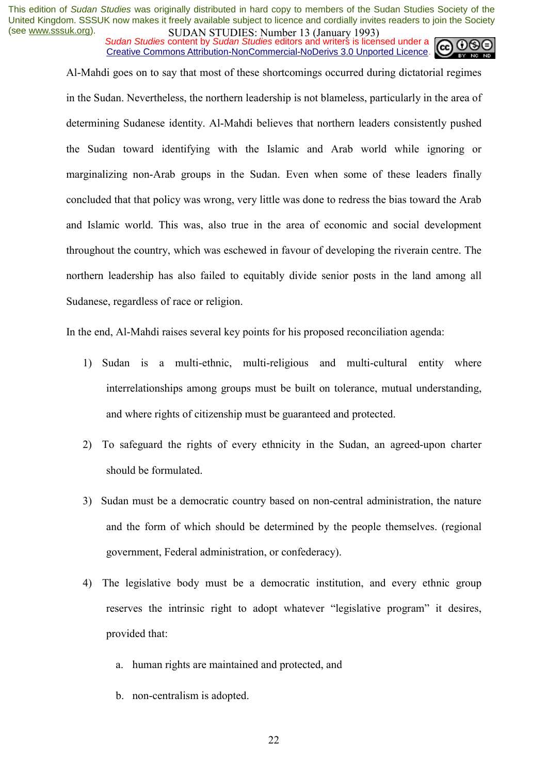*Sudan Studies* content by *Sudan Studies* editors and writers is licensed under a Creative Commons Attribution-NonCommercial-NoDerivs 3.0 Unported Licence.



Al-Mahdi goes on to say that most of these shortcomings occurred during dictatorial regimes in the Sudan. Nevertheless, the northern leadership is not blameless, particularly in the area of determining Sudanese identity. Al-Mahdi believes that northern leaders consistently pushed the Sudan toward identifying with the Islamic and Arab world while ignoring or marginalizing non-Arab groups in the Sudan. Even when some of these leaders finally concluded that that policy was wrong, very little was done to redress the bias toward the Arab and Islamic world. This was, also true in the area of economic and social development throughout the country, which was eschewed in favour of developing the riverain centre. The northern leadership has also failed to equitably divide senior posts in the land among all Sudanese, regardless of race or religion.

In the end, Al-Mahdi raises several key points for his proposed reconciliation agenda:

- 1) Sudan is a multi-ethnic, multi-religious and multi-cultural entity where interrelationships among groups must be built on tolerance, mutual understanding, and where rights of citizenship must be guaranteed and protected.
- 2) To safeguard the rights of every ethnicity in the Sudan, an agreed-upon charter should be formulated.
- 3) Sudan must be a democratic country based on non-central administration, the nature and the form of which should be determined by the people themselves. (regional government, Federal administration, or confederacy).
- 4) The legislative body must be a democratic institution, and every ethnic group reserves the intrinsic right to adopt whatever "legislative program" it desires, provided that:
	- a. human rights are maintained and protected, and
	- b. non-centralism is adopted.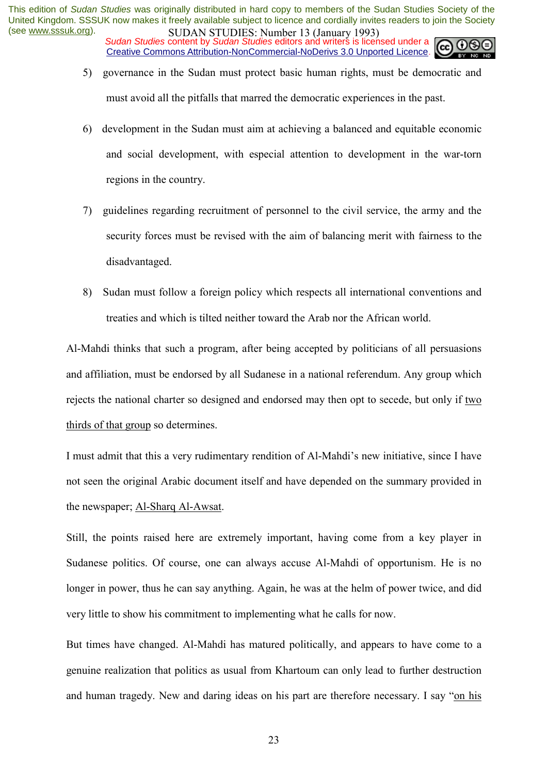*Sudan Studies* content by *Sudan Studies* editors and writers is licensed under a Creative Commons Attribution-NonCommercial-NoDerivs 3.0 Unported Licence.

- 5) governance in the Sudan must protect basic human rights, must be democratic and must avoid all the pitfalls that marred the democratic experiences in the past.
- 6) development in the Sudan must aim at achieving a balanced and equitable economic and social development, with especial attention to development in the war-torn regions in the country.
- 7) guidelines regarding recruitment of personnel to the civil service, the army and the security forces must be revised with the aim of balancing merit with fairness to the disadvantaged.
- 8) Sudan must follow a foreign policy which respects all international conventions and treaties and which is tilted neither toward the Arab nor the African world.

Al-Mahdi thinks that such a program, after being accepted by politicians of all persuasions and affiliation, must be endorsed by all Sudanese in a national referendum. Any group which rejects the national charter so designed and endorsed may then opt to secede, but only if two thirds of that group so determines.

I must admit that this a very rudimentary rendition of Al-Mahdi's new initiative, since I have not seen the original Arabic document itself and have depended on the summary provided in the newspaper; Al-Sharq Al-Awsat.

Still, the points raised here are extremely important, having come from a key player in Sudanese politics. Of course, one can always accuse Al-Mahdi of opportunism. He is no longer in power, thus he can say anything. Again, he was at the helm of power twice, and did very little to show his commitment to implementing what he calls for now.

But times have changed. Al-Mahdi has matured politically, and appears to have come to a genuine realization that politics as usual from Khartoum can only lead to further destruction and human tragedy. New and daring ideas on his part are therefore necessary. I say "on his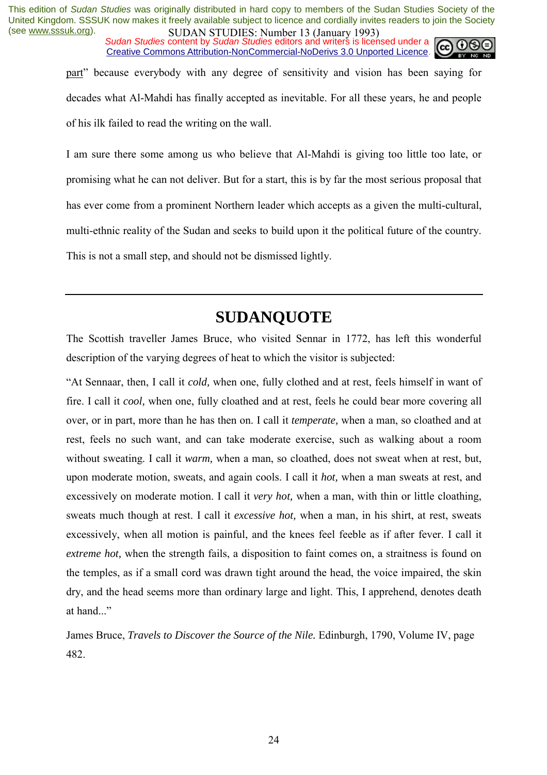*Sudan Studies* content by *Sudan Studies* editors and writers is licensed under a Creative Commons Attribution-NonCommercial-NoDerivs 3.0 Unported Licence.



part" because everybody with any degree of sensitivity and vision has been saying for decades what Al-Mahdi has finally accepted as inevitable. For all these years, he and people of his ilk failed to read the writing on the wall.

I am sure there some among us who believe that Al-Mahdi is giving too little too late, or promising what he can not deliver. But for a start, this is by far the most serious proposal that has ever come from a prominent Northern leader which accepts as a given the multi-cultural, multi-ethnic reality of the Sudan and seeks to build upon it the political future of the country. This is not a small step, and should not be dismissed lightly.

# **SUDANQUOTE**

The Scottish traveller James Bruce, who visited Sennar in 1772, has left this wonderful description of the varying degrees of heat to which the visitor is subjected:

ìAt Sennaar, then, I call it *cold,* when one, fully clothed and at rest, feels himself in want of fire. I call it *cool,* when one, fully cloathed and at rest, feels he could bear more covering all over, or in part, more than he has then on. I call it *temperate,* when a man, so cloathed and at rest, feels no such want, and can take moderate exercise, such as walking about a room without sweating. I call it *warm,* when a man, so cloathed, does not sweat when at rest, but, upon moderate motion, sweats, and again cools. I call it *hot,* when a man sweats at rest, and excessively on moderate motion. I call it *very hot*, when a man, with thin or little cloathing, sweats much though at rest. I call it *excessive hot,* when a man, in his shirt, at rest, sweats excessively, when all motion is painful, and the knees feel feeble as if after fever. I call it *extreme hot,* when the strength fails, a disposition to faint comes on, a straitness is found on the temples, as if a small cord was drawn tight around the head, the voice impaired, the skin dry, and the head seems more than ordinary large and light. This, I apprehend, denotes death at hand...

James Bruce, *Travels to Discover the Source of the Nile.* Edinburgh, 1790, Volume IV, page 482.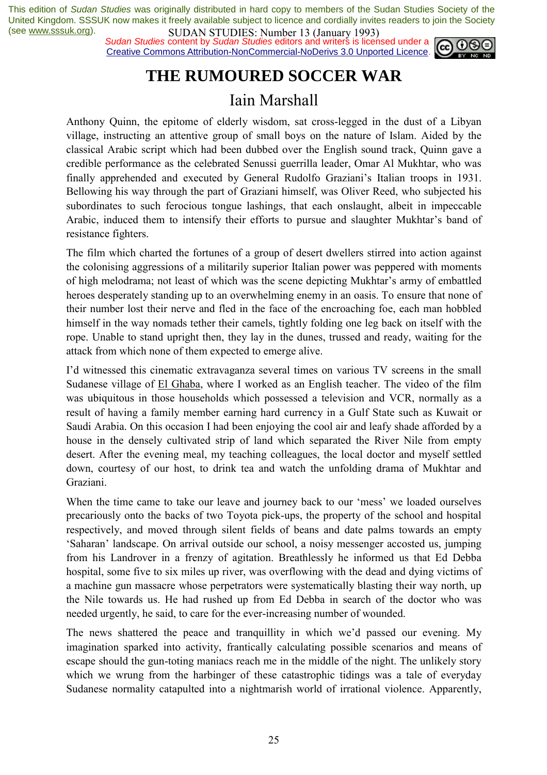*Sudan Studies* content by *Sudan Studies* editors and writers is licensed under a Creative Commons Attribution-NonCommercial-NoDerivs 3.0 Unported Licence.



# **THE RUMOURED SOCCER WAR**

## Iain Marshall

Anthony Quinn, the epitome of elderly wisdom, sat cross-legged in the dust of a Libyan village, instructing an attentive group of small boys on the nature of Islam. Aided by the classical Arabic script which had been dubbed over the English sound track, Quinn gave a credible performance as the celebrated Senussi guerrilla leader, Omar Al Mukhtar, who was finally apprehended and executed by General Rudolfo Graziani's Italian troops in 1931. Bellowing his way through the part of Graziani himself, was Oliver Reed, who subjected his subordinates to such ferocious tongue lashings, that each onslaught, albeit in impeccable Arabic, induced them to intensify their efforts to pursue and slaughter Mukhtar's band of resistance fighters.

The film which charted the fortunes of a group of desert dwellers stirred into action against the colonising aggressions of a militarily superior Italian power was peppered with moments of high melodrama; not least of which was the scene depicting Mukhtar's army of embattled heroes desperately standing up to an overwhelming enemy in an oasis. To ensure that none of their number lost their nerve and fled in the face of the encroaching foe, each man hobbled himself in the way nomads tether their camels, tightly folding one leg back on itself with the rope. Unable to stand upright then, they lay in the dunes, trussed and ready, waiting for the attack from which none of them expected to emerge alive.

I'd witnessed this cinematic extravaganza several times on various TV screens in the small Sudanese village of El Ghaba, where I worked as an English teacher. The video of the film was ubiquitous in those households which possessed a television and VCR, normally as a result of having a family member earning hard currency in a Gulf State such as Kuwait or Saudi Arabia. On this occasion I had been enjoying the cool air and leafy shade afforded by a house in the densely cultivated strip of land which separated the River Nile from empty desert. After the evening meal, my teaching colleagues, the local doctor and myself settled down, courtesy of our host, to drink tea and watch the unfolding drama of Mukhtar and Graziani.

When the time came to take our leave and journey back to our 'mess' we loaded ourselves precariously onto the backs of two Toyota pick-ups, the property of the school and hospital respectively, and moved through silent fields of beans and date palms towards an empty 'Saharan' landscape. On arrival outside our school, a noisy messenger accosted us, jumping from his Landrover in a frenzy of agitation. Breathlessly he informed us that Ed Debba hospital, some five to six miles up river, was overflowing with the dead and dying victims of a machine gun massacre whose perpetrators were systematically blasting their way north, up the Nile towards us. He had rushed up from Ed Debba in search of the doctor who was needed urgently, he said, to care for the ever-increasing number of wounded.

The news shattered the peace and tranquillity in which we'd passed our evening. My imagination sparked into activity, frantically calculating possible scenarios and means of escape should the gun-toting maniacs reach me in the middle of the night. The unlikely story which we wrung from the harbinger of these catastrophic tidings was a tale of everyday Sudanese normality catapulted into a nightmarish world of irrational violence. Apparently,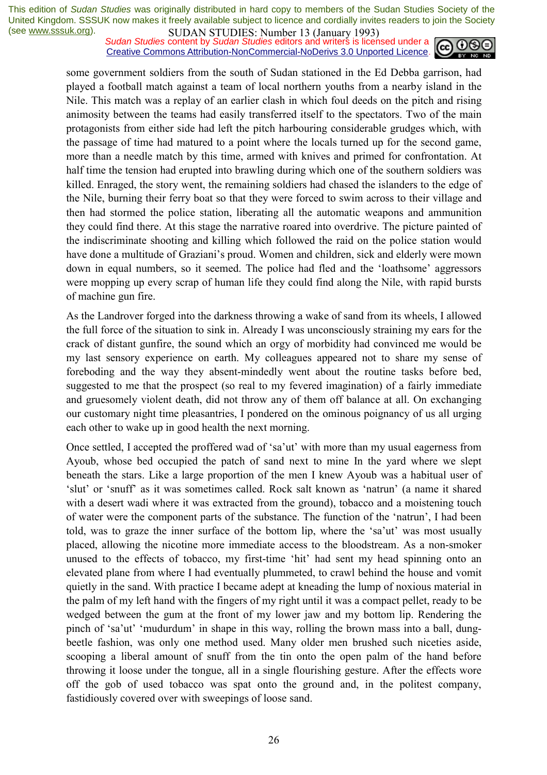*Sudan Studies* content by *Sudan Studies* editors and writers is licensed under a Creative Commons Attribution-NonCommercial-NoDerivs 3.0 Unported Licence.



some government soldiers from the south of Sudan stationed in the Ed Debba garrison, had played a football match against a team of local northern youths from a nearby island in the Nile. This match was a replay of an earlier clash in which foul deeds on the pitch and rising animosity between the teams had easily transferred itself to the spectators. Two of the main protagonists from either side had left the pitch harbouring considerable grudges which, with the passage of time had matured to a point where the locals turned up for the second game, more than a needle match by this time, armed with knives and primed for confrontation. At half time the tension had erupted into brawling during which one of the southern soldiers was killed. Enraged, the story went, the remaining soldiers had chased the islanders to the edge of the Nile, burning their ferry boat so that they were forced to swim across to their village and then had stormed the police station, liberating all the automatic weapons and ammunition they could find there. At this stage the narrative roared into overdrive. The picture painted of the indiscriminate shooting and killing which followed the raid on the police station would have done a multitude of Graziani's proud. Women and children, sick and elderly were mown down in equal numbers, so it seemed. The police had fled and the 'loathsome' aggressors were mopping up every scrap of human life they could find along the Nile, with rapid bursts of machine gun fire.

As the Landrover forged into the darkness throwing a wake of sand from its wheels, I allowed the full force of the situation to sink in. Already I was unconsciously straining my ears for the crack of distant gunfire, the sound which an orgy of morbidity had convinced me would be my last sensory experience on earth. My colleagues appeared not to share my sense of foreboding and the way they absent-mindedly went about the routine tasks before bed, suggested to me that the prospect (so real to my fevered imagination) of a fairly immediate and gruesomely violent death, did not throw any of them off balance at all. On exchanging our customary night time pleasantries, I pondered on the ominous poignancy of us all urging each other to wake up in good health the next morning.

Once settled, I accepted the proffered wad of 'sa'ut' with more than my usual eagerness from Ayoub, whose bed occupied the patch of sand next to mine In the yard where we slept beneath the stars. Like a large proportion of the men I knew Ayoub was a habitual user of 'slut' or 'snuff' as it was sometimes called. Rock salt known as 'natrun' (a name it shared with a desert wadi where it was extracted from the ground), tobacco and a moistening touch of water were the component parts of the substance. The function of the 'natrun', I had been told, was to graze the inner surface of the bottom lip, where the 'sa'ut' was most usually placed, allowing the nicotine more immediate access to the bloodstream. As a non-smoker unused to the effects of tobacco, my first-time 'hit' had sent my head spinning onto an elevated plane from where I had eventually plummeted, to crawl behind the house and vomit quietly in the sand. With practice I became adept at kneading the lump of noxious material in the palm of my left hand with the fingers of my right until it was a compact pellet, ready to be wedged between the gum at the front of my lower jaw and my bottom lip. Rendering the pinch of 'sa'ut' 'mudurdum' in shape in this way, rolling the brown mass into a ball, dungbeetle fashion, was only one method used. Many older men brushed such niceties aside, scooping a liberal amount of snuff from the tin onto the open palm of the hand before throwing it loose under the tongue, all in a single flourishing gesture. After the effects wore off the gob of used tobacco was spat onto the ground and, in the politest company, fastidiously covered over with sweepings of loose sand.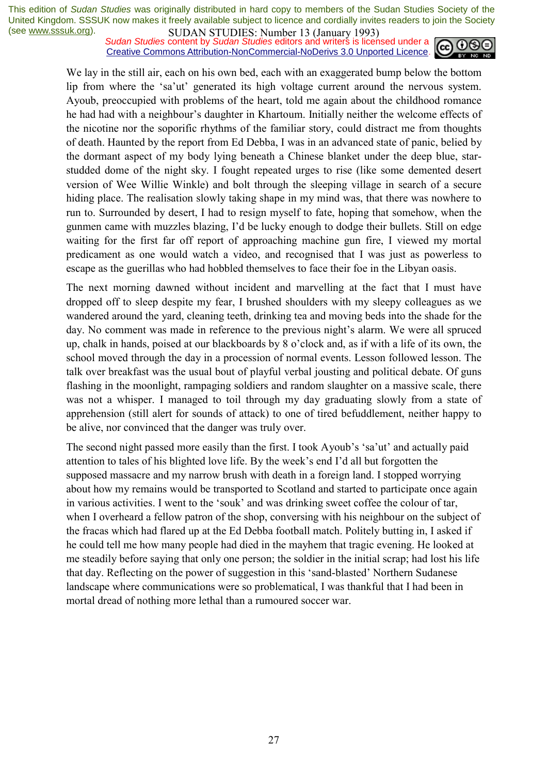*Sudan Studies* content by *Sudan Studies* editors and writers is licensed under a Creative Commons Attribution-NonCommercial-NoDerivs 3.0 Unported Licence.



We lay in the still air, each on his own bed, each with an exaggerated bump below the bottom lip from where the 'sa'ut' generated its high voltage current around the nervous system. Ayoub, preoccupied with problems of the heart, told me again about the childhood romance he had had with a neighbour's daughter in Khartoum. Initially neither the welcome effects of the nicotine nor the soporific rhythms of the familiar story, could distract me from thoughts of death. Haunted by the report from Ed Debba, I was in an advanced state of panic, belied by the dormant aspect of my body lying beneath a Chinese blanket under the deep blue, starstudded dome of the night sky. I fought repeated urges to rise (like some demented desert version of Wee Willie Winkle) and bolt through the sleeping village in search of a secure hiding place. The realisation slowly taking shape in my mind was, that there was nowhere to run to. Surrounded by desert, I had to resign myself to fate, hoping that somehow, when the gunmen came with muzzles blazing, I'd be lucky enough to dodge their bullets. Still on edge waiting for the first far off report of approaching machine gun fire, I viewed my mortal predicament as one would watch a video, and recognised that I was just as powerless to escape as the guerillas who had hobbled themselves to face their foe in the Libyan oasis.

The next morning dawned without incident and marvelling at the fact that I must have dropped off to sleep despite my fear, I brushed shoulders with my sleepy colleagues as we wandered around the yard, cleaning teeth, drinking tea and moving beds into the shade for the day. No comment was made in reference to the previous night's alarm. We were all spruced up, chalk in hands, poised at our blackboards by 8 o'clock and, as if with a life of its own, the school moved through the day in a procession of normal events. Lesson followed lesson. The talk over breakfast was the usual bout of playful verbal jousting and political debate. Of guns flashing in the moonlight, rampaging soldiers and random slaughter on a massive scale, there was not a whisper. I managed to toil through my day graduating slowly from a state of apprehension (still alert for sounds of attack) to one of tired befuddlement, neither happy to be alive, nor convinced that the danger was truly over.

The second night passed more easily than the first. I took Ayoub's 'sa'ut' and actually paid attention to tales of his blighted love life. By the week's end I'd all but forgotten the supposed massacre and my narrow brush with death in a foreign land. I stopped worrying about how my remains would be transported to Scotland and started to participate once again in various activities. I went to the 'souk' and was drinking sweet coffee the colour of tar, when I overheard a fellow patron of the shop, conversing with his neighbour on the subject of the fracas which had flared up at the Ed Debba football match. Politely butting in, I asked if he could tell me how many people had died in the mayhem that tragic evening. He looked at me steadily before saying that only one person; the soldier in the initial scrap; had lost his life that day. Reflecting on the power of suggestion in this 'sand-blasted' Northern Sudanese landscape where communications were so problematical, I was thankful that I had been in mortal dread of nothing more lethal than a rumoured soccer war.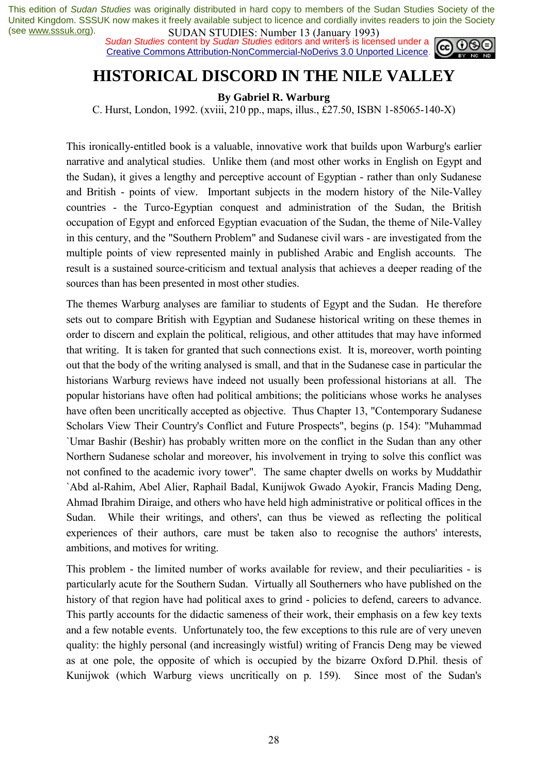*Sudan Studies* content by *Sudan Studies* editors and writers is licensed under a Creative Commons Attribution-NonCommercial-NoDerivs 3.0 Unported Licence.



# **HISTORICAL DISCORD IN THE NILE VALLEY**

**By Gabriel R. Warburg** 

C. Hurst, London, 1992. (xviii, 210 pp., maps, illus., £27.50, ISBN 1-85065-140-X)

This ironically-entitled book is a valuable, innovative work that builds upon Warburg's earlier narrative and analytical studies. Unlike them (and most other works in English on Egypt and the Sudan), it gives a lengthy and perceptive account of Egyptian - rather than only Sudanese and British - points of view. Important subjects in the modern history of the Nile-Valley countries - the Turco-Egyptian conquest and administration of the Sudan, the British occupation of Egypt and enforced Egyptian evacuation of the Sudan, the theme of Nile-Valley in this century, and the "Southern Problem" and Sudanese civil wars - are investigated from the multiple points of view represented mainly in published Arabic and English accounts. The result is a sustained source-criticism and textual analysis that achieves a deeper reading of the sources than has been presented in most other studies.

The themes Warburg analyses are familiar to students of Egypt and the Sudan. He therefore sets out to compare British with Egyptian and Sudanese historical writing on these themes in order to discern and explain the political, religious, and other attitudes that may have informed that writing. It is taken for granted that such connections exist. It is, moreover, worth pointing out that the body of the writing analysed is small, and that in the Sudanese case in particular the historians Warburg reviews have indeed not usually been professional historians at all. The popular historians have often had political ambitions; the politicians whose works he analyses have often been uncritically accepted as objective. Thus Chapter 13, "Contemporary Sudanese Scholars View Their Country's Conflict and Future Prospects", begins (p. 154): "Muhammad `Umar Bashir (Beshir) has probably written more on the conflict in the Sudan than any other Northern Sudanese scholar and moreover, his involvement in trying to solve this conflict was not confined to the academic ivory tower". The same chapter dwells on works by Muddathir `Abd al-Rahim, Abel Alier, Raphail Badal, Kunijwok Gwado Ayokir, Francis Mading Deng, Ahmad Ibrahim Diraige, and others who have held high administrative or political offices in the Sudan. While their writings, and others', can thus be viewed as reflecting the political experiences of their authors, care must be taken also to recognise the authors' interests, ambitions, and motives for writing.

This problem - the limited number of works available for review, and their peculiarities - is particularly acute for the Southern Sudan. Virtually all Southerners who have published on the history of that region have had political axes to grind - policies to defend, careers to advance. This partly accounts for the didactic sameness of their work, their emphasis on a few key texts and a few notable events. Unfortunately too, the few exceptions to this rule are of very uneven quality: the highly personal (and increasingly wistful) writing of Francis Deng may be viewed as at one pole, the opposite of which is occupied by the bizarre Oxford D.Phil. thesis of Kunijwok (which Warburg views uncritically on p. 159). Since most of the Sudan's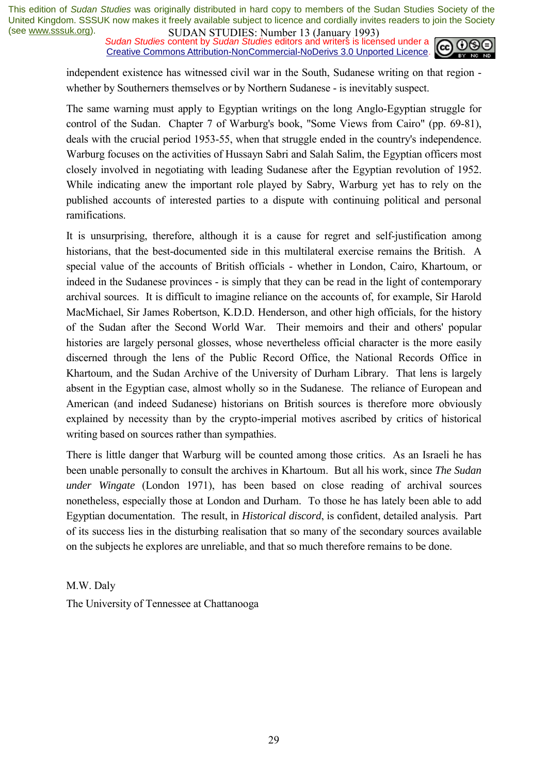*Sudan Studies* content by *Sudan Studies* editors and writers is licensed under a Creative Commons Attribution-NonCommercial-NoDerivs 3.0 Unported Licence.



independent existence has witnessed civil war in the South, Sudanese writing on that region whether by Southerners themselves or by Northern Sudanese - is inevitably suspect.

The same warning must apply to Egyptian writings on the long Anglo-Egyptian struggle for control of the Sudan. Chapter 7 of Warburg's book, "Some Views from Cairo" (pp. 69-81), deals with the crucial period 1953-55, when that struggle ended in the country's independence. Warburg focuses on the activities of Hussayn Sabri and Salah Salim, the Egyptian officers most closely involved in negotiating with leading Sudanese after the Egyptian revolution of 1952. While indicating anew the important role played by Sabry, Warburg yet has to rely on the published accounts of interested parties to a dispute with continuing political and personal ramifications.

It is unsurprising, therefore, although it is a cause for regret and self-justification among historians, that the best-documented side in this multilateral exercise remains the British. A special value of the accounts of British officials - whether in London, Cairo, Khartoum, or indeed in the Sudanese provinces - is simply that they can be read in the light of contemporary archival sources. It is difficult to imagine reliance on the accounts of, for example, Sir Harold MacMichael, Sir James Robertson, K.D.D. Henderson, and other high officials, for the history of the Sudan after the Second World War. Their memoirs and their and others' popular histories are largely personal glosses, whose nevertheless official character is the more easily discerned through the lens of the Public Record Office, the National Records Office in Khartoum, and the Sudan Archive of the University of Durham Library. That lens is largely absent in the Egyptian case, almost wholly so in the Sudanese. The reliance of European and American (and indeed Sudanese) historians on British sources is therefore more obviously explained by necessity than by the crypto-imperial motives ascribed by critics of historical writing based on sources rather than sympathies.

There is little danger that Warburg will be counted among those critics. As an Israeli he has been unable personally to consult the archives in Khartoum. But all his work, since *The Sudan under Wingate* (London 1971), has been based on close reading of archival sources nonetheless, especially those at London and Durham. To those he has lately been able to add Egyptian documentation. The result, in *Historical discord*, is confident, detailed analysis. Part of its success lies in the disturbing realisation that so many of the secondary sources available on the subjects he explores are unreliable, and that so much therefore remains to be done.

M.W. Daly The University of Tennessee at Chattanooga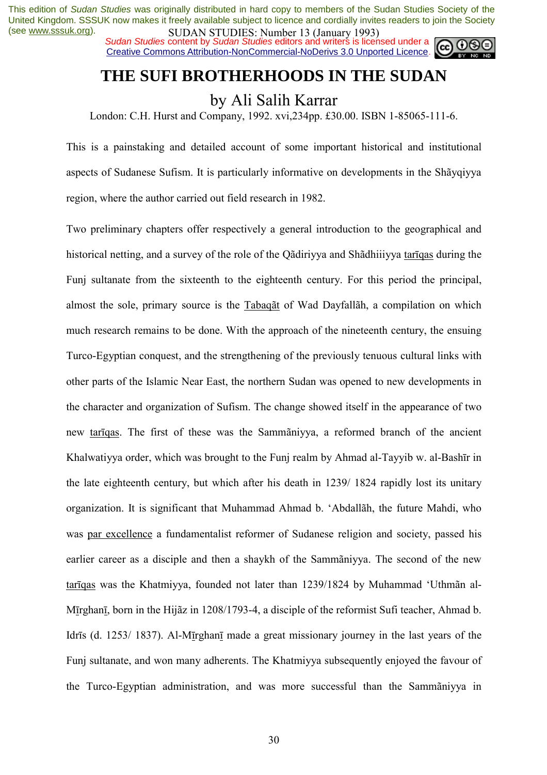*Sudan Studies* content by *Sudan Studies* editors and writers is licensed under a Creative Commons Attribution-NonCommercial-NoDerivs 3.0 Unported Licence.



# **THE SUFI BROTHERHOODS IN THE SUDAN**

# by Ali Salih Karrar

London: C.H. Hurst and Company, 1992. xvi,234pp. £30.00. ISBN 1-85065-111-6.

This is a painstaking and detailed account of some important historical and institutional aspects of Sudanese Sufism. It is particularly informative on developments in the Shavaiyya region, where the author carried out field research in 1982.

Two preliminary chapters offer respectively a general introduction to the geographical and historical netting, and a survey of the role of the Qadiriyya and Shadhiiiyya tariqas during the Funj sultanate from the sixteenth to the eighteenth century. For this period the principal, almost the sole, primary source is the Tabaq $\tilde{a}t$  of Wad Dayfall $\tilde{a}h$ , a compilation on which much research remains to be done. With the approach of the nineteenth century, the ensuing Turco-Egyptian conquest, and the strengthening of the previously tenuous cultural links with other parts of the Islamic Near East, the northern Sudan was opened to new developments in the character and organization of Sufism. The change showed itself in the appearance of two new tarīgas. The first of these was the Sammaniyya, a reformed branch of the ancient Khalwatiyya order, which was brought to the Funj realm by Ahmad al-Tayyib w. al-Bashīr in the late eighteenth century, but which after his death in 1239/ 1824 rapidly lost its unitary organization. It is significant that Muhammad Ahmad b. 'Abdallah, the future Mahdi, who was par excellence a fundamentalist reformer of Sudanese religion and society, passed his earlier career as a disciple and then a shaykh of the Sammaniyya. The second of the new tarīgas was the Khatmiyya, founded not later than 1239/1824 by Muhammad 'Uthman al-Mīrghanī, born in the Hijãz in 1208/1793-4, a disciple of the reformist Sufi teacher, Ahmad b. Idrīs (d. 1253/ 1837). Al-Mīrghanī made a great missionary journey in the last years of the Funj sultanate, and won many adherents. The Khatmiyya subsequently enjoyed the favour of the Turco-Egyptian administration, and was more successful than the Sammaniyya in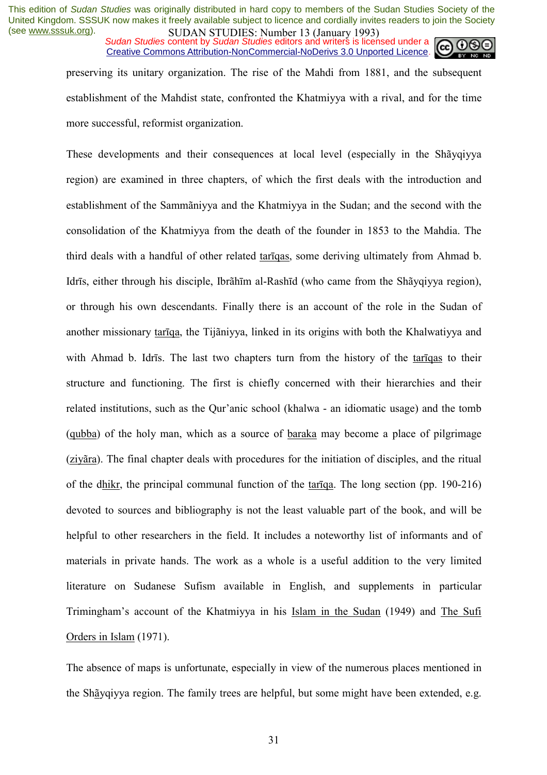*Sudan Studies* content by *Sudan Studies* editors and writers is licensed under a Creative Commons Attribution-NonCommercial-NoDerivs 3.0 Unported Licence.



preserving its unitary organization. The rise of the Mahdi from 1881, and the subsequent establishment of the Mahdist state, confronted the Khatmiyya with a rival, and for the time more successful, reformist organization.

These developments and their consequences at local level (especially in the Shavaiyya region) are examined in three chapters, of which the first deals with the introduction and establishment of the Sammaniyya and the Khatmiyya in the Sudan; and the second with the consolidation of the Khatmiyya from the death of the founder in 1853 to the Mahdia. The third deals with a handful of other related tarīqas, some deriving ultimately from Ahmad b. Idrīs, either through his disciple, Ibrãhīm al-Rashīd (who came from the Shāvqiyya region), or through his own descendants. Finally there is an account of the role in the Sudan of another missionary tarīqa, the Tijaniyya, linked in its origins with both the Khalwatiyya and with Ahmad b. Idrīs. The last two chapters turn from the history of the tarīqas to their structure and functioning. The first is chiefly concerned with their hierarchies and their related institutions, such as the Our'anic school (khalwa - an idiomatic usage) and the tomb (qubba) of the holy man, which as a source of baraka may become a place of pilgrimage (ziy"ra). The final chapter deals with procedures for the initiation of disciples, and the ritual of the dhikr, the principal communal function of the tarīqa. The long section (pp. 190-216) devoted to sources and bibliography is not the least valuable part of the book, and will be helpful to other researchers in the field. It includes a noteworthy list of informants and of materials in private hands. The work as a whole is a useful addition to the very limited literature on Sudanese Sufism available in English, and supplements in particular Triminghamís account of the Khatmiyya in his Islam in the Sudan (1949) and The Sufi Orders in Islam (1971).

The absence of maps is unfortunate, especially in view of the numerous places mentioned in the Shayqiyya region. The family trees are helpful, but some might have been extended, e.g.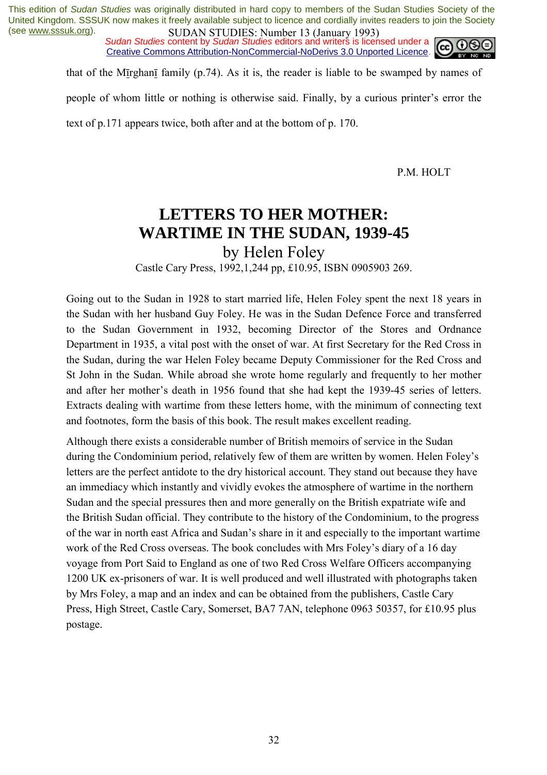*Sudan Studies* content by *Sudan Studies* editors and writers is licensed under a Creative Commons Attribution-NonCommercial-NoDerivs 3.0 Unported Licence.



that of the Mīrghanī family (p.74). As it is, the reader is liable to be swamped by names of

people of whom little or nothing is otherwise said. Finally, by a curious printer's error the

text of p.171 appears twice, both after and at the bottom of p. 170.

P.M. HOLT

# **LETTERS TO HER MOTHER: WARTIME IN THE SUDAN, 1939-45**

by Helen Foley

Castle Cary Press, 1992,1,244 pp, £10.95, ISBN 0905903 269.

Going out to the Sudan in 1928 to start married life, Helen Foley spent the next 18 years in the Sudan with her husband Guy Foley. He was in the Sudan Defence Force and transferred to the Sudan Government in 1932, becoming Director of the Stores and Ordnance Department in 1935, a vital post with the onset of war. At first Secretary for the Red Cross in the Sudan, during the war Helen Foley became Deputy Commissioner for the Red Cross and St John in the Sudan. While abroad she wrote home regularly and frequently to her mother and after her mother's death in 1956 found that she had kept the 1939-45 series of letters. Extracts dealing with wartime from these letters home, with the minimum of connecting text and footnotes, form the basis of this book. The result makes excellent reading.

Although there exists a considerable number of British memoirs of service in the Sudan during the Condominium period, relatively few of them are written by women. Helen Foley's letters are the perfect antidote to the dry historical account. They stand out because they have an immediacy which instantly and vividly evokes the atmosphere of wartime in the northern Sudan and the special pressures then and more generally on the British expatriate wife and the British Sudan official. They contribute to the history of the Condominium, to the progress of the war in north east Africa and Sudan's share in it and especially to the important wartime work of the Red Cross overseas. The book concludes with Mrs Foley's diary of a 16 day voyage from Port Said to England as one of two Red Cross Welfare Officers accompanying 1200 UK ex-prisoners of war. It is well produced and well illustrated with photographs taken by Mrs Foley, a map and an index and can be obtained from the publishers, Castle Cary Press, High Street, Castle Cary, Somerset, BA7 7AN, telephone 0963 50357, for £10.95 plus postage.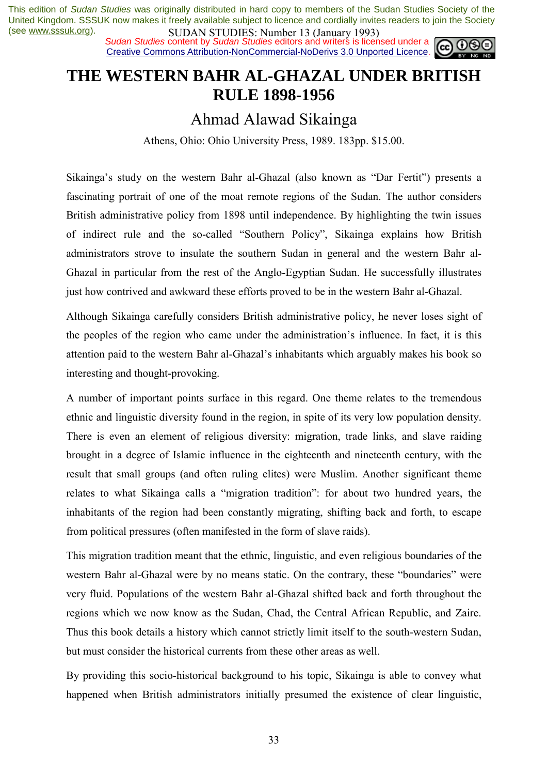*Sudan Studies* content by *Sudan Studies* editors and writers is licensed under a Creative Commons Attribution-NonCommercial-NoDerivs 3.0 Unported Licence.



# **THE WESTERN BAHR AL-GHAZAL UNDER BRITISH RULE 1898-1956**

## Ahmad Alawad Sikainga

Athens, Ohio: Ohio University Press, 1989. 183pp. \$15.00.

Sikainga's study on the western Bahr al-Ghazal (also known as "Dar Fertit") presents a fascinating portrait of one of the moat remote regions of the Sudan. The author considers British administrative policy from 1898 until independence. By highlighting the twin issues of indirect rule and the so-called "Southern Policy", Sikainga explains how British administrators strove to insulate the southern Sudan in general and the western Bahr al-Ghazal in particular from the rest of the Anglo-Egyptian Sudan. He successfully illustrates just how contrived and awkward these efforts proved to be in the western Bahr al-Ghazal.

Although Sikainga carefully considers British administrative policy, he never loses sight of the peoples of the region who came under the administration's influence. In fact, it is this attention paid to the western Bahr al-Ghazal's inhabitants which arguably makes his book so interesting and thought-provoking.

A number of important points surface in this regard. One theme relates to the tremendous ethnic and linguistic diversity found in the region, in spite of its very low population density. There is even an element of religious diversity: migration, trade links, and slave raiding brought in a degree of Islamic influence in the eighteenth and nineteenth century, with the result that small groups (and often ruling elites) were Muslim. Another significant theme relates to what Sikainga calls a "migration tradition": for about two hundred years, the inhabitants of the region had been constantly migrating, shifting back and forth, to escape from political pressures (often manifested in the form of slave raids).

This migration tradition meant that the ethnic, linguistic, and even religious boundaries of the western Bahr al-Ghazal were by no means static. On the contrary, these "boundaries" were very fluid. Populations of the western Bahr al-Ghazal shifted back and forth throughout the regions which we now know as the Sudan, Chad, the Central African Republic, and Zaire. Thus this book details a history which cannot strictly limit itself to the south-western Sudan, but must consider the historical currents from these other areas as well.

By providing this socio-historical background to his topic, Sikainga is able to convey what happened when British administrators initially presumed the existence of clear linguistic,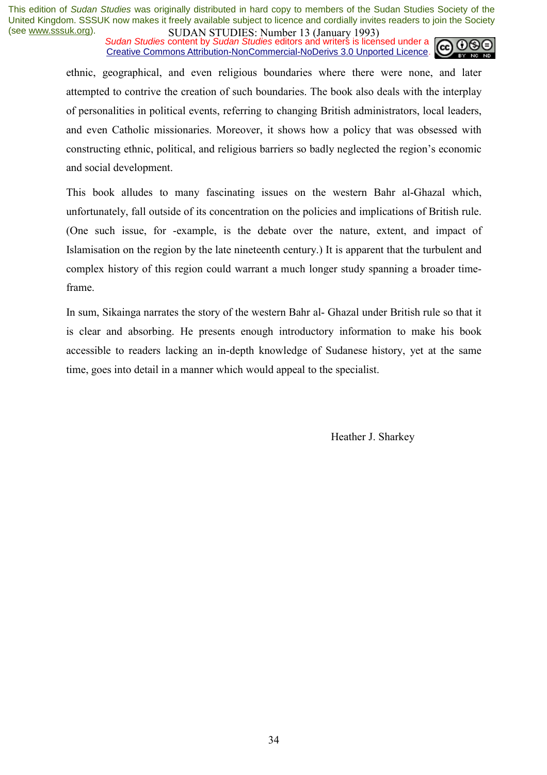*Sudan Studies* content by *Sudan Studies* editors and writers is licensed under a Creative Commons Attribution-NonCommercial-NoDerivs 3.0 Unported Licence.



ethnic, geographical, and even religious boundaries where there were none, and later attempted to contrive the creation of such boundaries. The book also deals with the interplay of personalities in political events, referring to changing British administrators, local leaders, and even Catholic missionaries. Moreover, it shows how a policy that was obsessed with constructing ethnic, political, and religious barriers so badly neglected the region's economic and social development.

This book alludes to many fascinating issues on the western Bahr al-Ghazal which, unfortunately, fall outside of its concentration on the policies and implications of British rule. (One such issue, for -example, is the debate over the nature, extent, and impact of Islamisation on the region by the late nineteenth century.) It is apparent that the turbulent and complex history of this region could warrant a much longer study spanning a broader timeframe.

In sum, Sikainga narrates the story of the western Bahr al- Ghazal under British rule so that it is clear and absorbing. He presents enough introductory information to make his book accessible to readers lacking an in-depth knowledge of Sudanese history, yet at the same time, goes into detail in a manner which would appeal to the specialist.

Heather J. Sharkey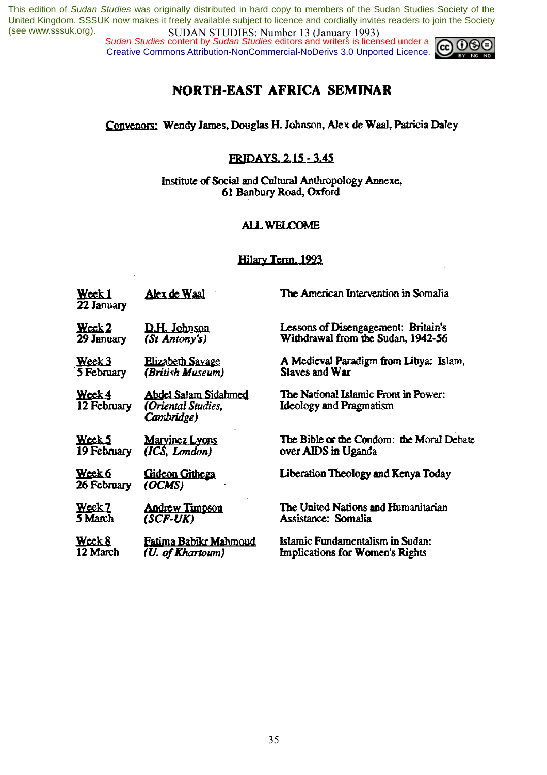*Sudan Studies* content by *Sudan Studies* editors and writers is licensed under a Creative Commons Attribution-NonCommercial-NoDerivs 3.0 Unported Licence.



## **NORTH-EAST AFRICA SEMINAR**

Convenors: Wendy James, Douglas H. Johnson, Alex de Waal, Patricia Daley

## FRIDAYS. 2.15 - 3.45

Institute of Social and Cultural Anthropology Annexe, 61 Banbury Road, Oxford

## **ALL WELCOME**

#### Hilary Term, 1993

| Week 1<br>22 January  | <u>Alex de Waal</u>                                      | The American Intervention in Somalia                                          |
|-----------------------|----------------------------------------------------------|-------------------------------------------------------------------------------|
| $\mathbf{W}$ cck 2    | <b>D.H. Johnson</b>                                      | Lessons of Disengagement: Britain's                                           |
| 29 January            | (St Antony's)                                            | Withdrawal from the Sudan, 1942-56                                            |
| Week 3                | <b>Elizabeth Savage</b>                                  | A Medieval Paradigm from Libya: Islam,                                        |
| 5 February            | (British Museum)                                         | Slaves and War                                                                |
| Week 4<br>12 February | Abdel Salam Sidahmed<br>(Oriental Studies,<br>Cambridge) | <b>The National Islamic Front in Power:</b><br><b>Ideology and Pragmatism</b> |
| Week 5                | <b>Maryinez Lyons</b>                                    | The Bible or the Condom: the Moral Debate                                     |
| 19 February           | (ICS, London)                                            | over AIDS in Uganda                                                           |
| Week 6<br>26 February | Gideon Githega<br>(OCMS)                                 | Liberation Theology and Kenya Today                                           |
| Week 7                | <b>Andrew Timpson</b>                                    | The United Nations and Humanitarian                                           |
| 5 March               | (SCF-UK)                                                 | Assistance: Somalia                                                           |
| Week 8                | Fatima Babikr Mahmoud                                    | <b>Islamic Fundamentalism in Sudan:</b>                                       |
| 12 March              | (U. of Khartoum)                                         | <b>Implications for Women's Rights</b>                                        |